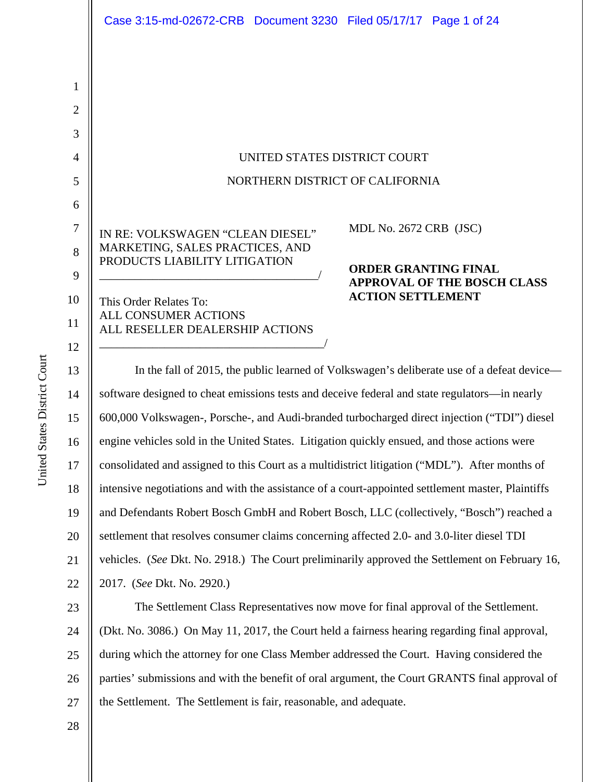|                                | Case 3:15-md-02672-CRB  Document 3230  Filed 05/17/17  Page 1 of 24                           |                                                                                            |
|--------------------------------|-----------------------------------------------------------------------------------------------|--------------------------------------------------------------------------------------------|
| $\mathbf{1}$<br>$\overline{2}$ |                                                                                               |                                                                                            |
| 3                              |                                                                                               |                                                                                            |
| $\overline{4}$                 | UNITED STATES DISTRICT COURT                                                                  |                                                                                            |
| 5                              | NORTHERN DISTRICT OF CALIFORNIA                                                               |                                                                                            |
| 6                              |                                                                                               |                                                                                            |
| $\tau$                         | IN RE: VOLKSWAGEN "CLEAN DIESEL"                                                              | MDL No. 2672 CRB (JSC)                                                                     |
| 8<br>9                         | MARKETING, SALES PRACTICES, AND<br>PRODUCTS LIABILITY LITIGATION                              | <b>ORDER GRANTING FINAL</b><br><b>APPROVAL OF THE BOSCH CLASS</b>                          |
| 10                             | This Order Relates To:<br><b>ALL CONSUMER ACTIONS</b>                                         | <b>ACTION SETTLEMENT</b>                                                                   |
| 11<br>12                       | ALL RESELLER DEALERSHIP ACTIONS                                                               |                                                                                            |
| 13                             |                                                                                               | In the fall of 2015, the public learned of Volkswagen's deliberate use of a defeat device- |
| 14                             | software designed to cheat emissions tests and deceive federal and state regulators—in nearly |                                                                                            |

14 15 16 17 18 19 20 21 22 software designed to cheat emissions tests and deceive federal and state regulators—in nearly 600,000 Volkswagen-, Porsche-, and Audi-branded turbocharged direct injection ("TDI") diesel engine vehicles sold in the United States. Litigation quickly ensued, and those actions were consolidated and assigned to this Court as a multidistrict litigation ("MDL"). After months of intensive negotiations and with the assistance of a court-appointed settlement master, Plaintiffs and Defendants Robert Bosch GmbH and Robert Bosch, LLC (collectively, "Bosch") reached a settlement that resolves consumer claims concerning affected 2.0- and 3.0-liter diesel TDI vehicles. (*See* Dkt. No. 2918.) The Court preliminarily approved the Settlement on February 16, 2017. (*See* Dkt. No. 2920.)

23 24 25 26 27 The Settlement Class Representatives now move for final approval of the Settlement. (Dkt. No. 3086.) On May 11, 2017, the Court held a fairness hearing regarding final approval, during which the attorney for one Class Member addressed the Court. Having considered the parties' submissions and with the benefit of oral argument, the Court GRANTS final approval of the Settlement. The Settlement is fair, reasonable, and adequate.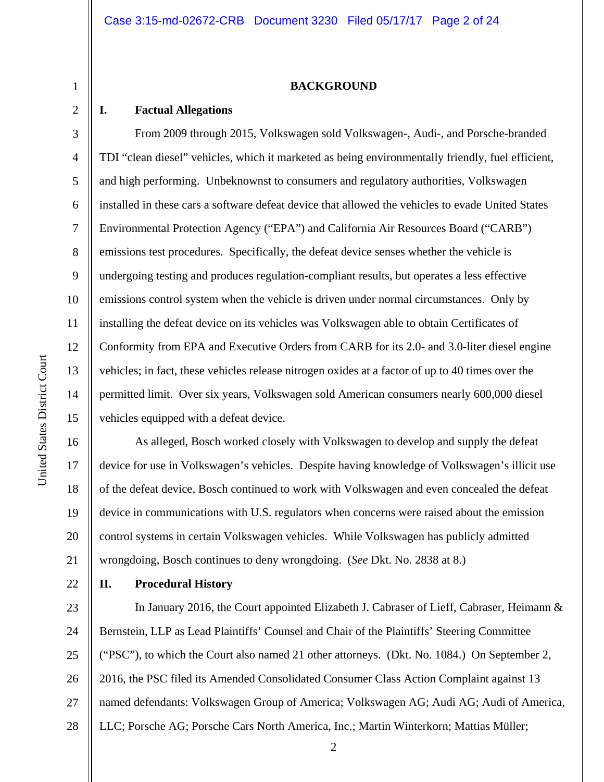#### **BACKGROUND**

#### **I. Factual Allegations**

1

2

3

4

5

6

7

8

9

10

11

12

13

14

15

From 2009 through 2015, Volkswagen sold Volkswagen-, Audi-, and Porsche-branded TDI "clean diesel" vehicles, which it marketed as being environmentally friendly, fuel efficient, and high performing. Unbeknownst to consumers and regulatory authorities, Volkswagen installed in these cars a software defeat device that allowed the vehicles to evade United States Environmental Protection Agency ("EPA") and California Air Resources Board ("CARB") emissions test procedures. Specifically, the defeat device senses whether the vehicle is undergoing testing and produces regulation-compliant results, but operates a less effective emissions control system when the vehicle is driven under normal circumstances. Only by installing the defeat device on its vehicles was Volkswagen able to obtain Certificates of Conformity from EPA and Executive Orders from CARB for its 2.0- and 3.0-liter diesel engine vehicles; in fact, these vehicles release nitrogen oxides at a factor of up to 40 times over the permitted limit. Over six years, Volkswagen sold American consumers nearly 600,000 diesel vehicles equipped with a defeat device.

16 17 18 19 20 21 As alleged, Bosch worked closely with Volkswagen to develop and supply the defeat device for use in Volkswagen's vehicles. Despite having knowledge of Volkswagen's illicit use of the defeat device, Bosch continued to work with Volkswagen and even concealed the defeat device in communications with U.S. regulators when concerns were raised about the emission control systems in certain Volkswagen vehicles. While Volkswagen has publicly admitted wrongdoing, Bosch continues to deny wrongdoing. (*See* Dkt. No. 2838 at 8.)

22

#### **II. Procedural History**

23 24 25 26 27 28 In January 2016, the Court appointed Elizabeth J. Cabraser of Lieff, Cabraser, Heimann & Bernstein, LLP as Lead Plaintiffs' Counsel and Chair of the Plaintiffs' Steering Committee ("PSC"), to which the Court also named 21 other attorneys. (Dkt. No. 1084.) On September 2, 2016, the PSC filed its Amended Consolidated Consumer Class Action Complaint against 13 named defendants: Volkswagen Group of America; Volkswagen AG; Audi AG; Audi of America, LLC; Porsche AG; Porsche Cars North America, Inc.; Martin Winterkorn; Mattias Müller;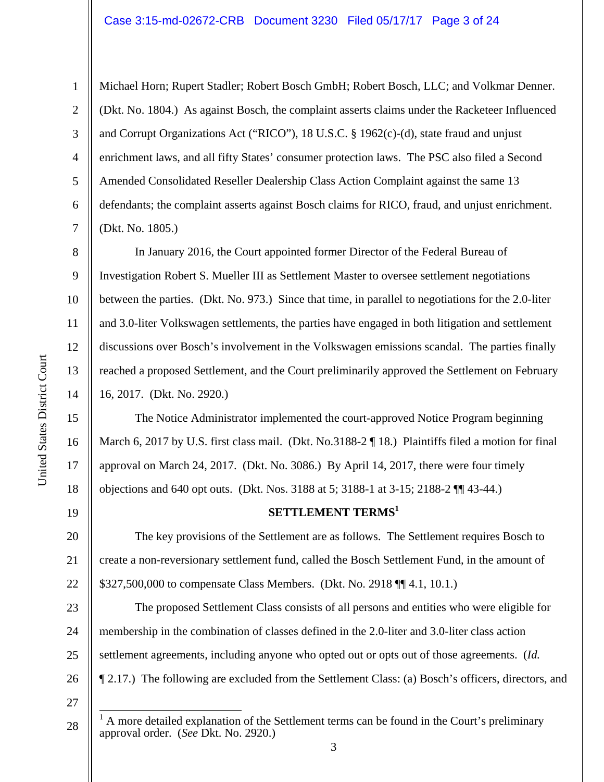Michael Horn; Rupert Stadler; Robert Bosch GmbH; Robert Bosch, LLC; and Volkmar Denner. (Dkt. No. 1804.) As against Bosch, the complaint asserts claims under the Racketeer Influenced and Corrupt Organizations Act ("RICO"), 18 U.S.C. § 1962(c)-(d), state fraud and unjust enrichment laws, and all fifty States' consumer protection laws. The PSC also filed a Second Amended Consolidated Reseller Dealership Class Action Complaint against the same 13 defendants; the complaint asserts against Bosch claims for RICO, fraud, and unjust enrichment. (Dkt. No. 1805.)

10 12 14 In January 2016, the Court appointed former Director of the Federal Bureau of Investigation Robert S. Mueller III as Settlement Master to oversee settlement negotiations between the parties. (Dkt. No. 973.) Since that time, in parallel to negotiations for the 2.0-liter and 3.0-liter Volkswagen settlements, the parties have engaged in both litigation and settlement discussions over Bosch's involvement in the Volkswagen emissions scandal. The parties finally reached a proposed Settlement, and the Court preliminarily approved the Settlement on February 16, 2017. (Dkt. No. 2920.)

The Notice Administrator implemented the court-approved Notice Program beginning March 6, 2017 by U.S. first class mail. (Dkt. No.3188-2 ¶ 18.) Plaintiffs filed a motion for final approval on March 24, 2017. (Dkt. No. 3086.) By April 14, 2017, there were four timely objections and 640 opt outs. (Dkt. Nos. 3188 at 5; 3188-1 at 3-15; 2188-2 ¶¶ 43-44.)

#### **SETTLEMENT TERMS**<sup>1</sup>

20 21 22 The key provisions of the Settlement are as follows. The Settlement requires Bosch to create a non-reversionary settlement fund, called the Bosch Settlement Fund, in the amount of \$327,500,000 to compensate Class Members. (Dkt. No. 2918 ¶¶ 4.1, 10.1.)

23 24 25 26 The proposed Settlement Class consists of all persons and entities who were eligible for membership in the combination of classes defined in the 2.0-liter and 3.0-liter class action settlement agreements, including anyone who opted out or opts out of those agreements. (*Id.* ¶ 2.17.) The following are excluded from the Settlement Class: (a) Bosch's officers, directors, and

27

 $\overline{\phantom{a}}$ 

28

1

2

3

4

5

6

7

8

9

11

13

15

16

17

18

<sup>1</sup> A more detailed explanation of the Settlement terms can be found in the Court's preliminary approval order. (*See* Dkt. No. 2920.)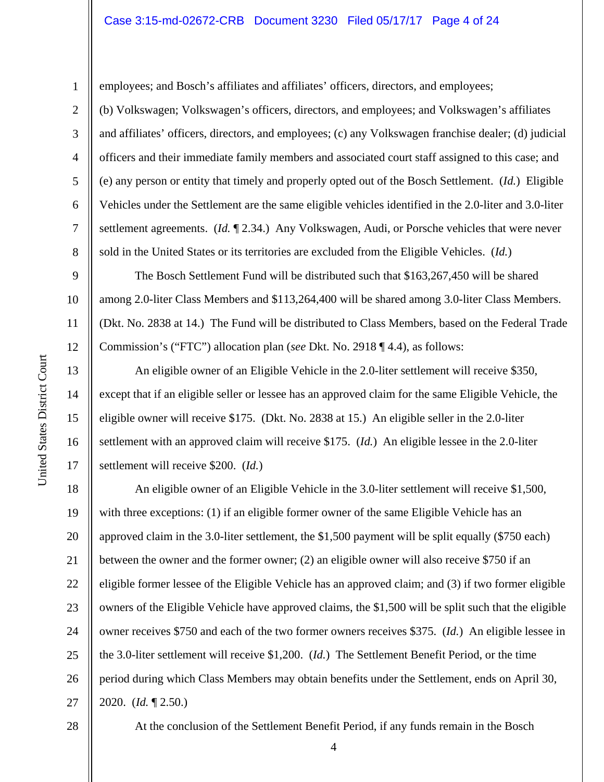employees; and Bosch's affiliates and affiliates' officers, directors, and employees;

(b) Volkswagen; Volkswagen's officers, directors, and employees; and Volkswagen's affiliates and affiliates' officers, directors, and employees; (c) any Volkswagen franchise dealer; (d) judicial officers and their immediate family members and associated court staff assigned to this case; and (e) any person or entity that timely and properly opted out of the Bosch Settlement. (*Id.*) Eligible Vehicles under the Settlement are the same eligible vehicles identified in the 2.0-liter and 3.0-liter settlement agreements. (*Id.* ¶ 2.34.) Any Volkswagen, Audi, or Porsche vehicles that were never sold in the United States or its territories are excluded from the Eligible Vehicles. (*Id.*)

The Bosch Settlement Fund will be distributed such that \$163,267,450 will be shared among 2.0-liter Class Members and \$113,264,400 will be shared among 3.0-liter Class Members. (Dkt. No. 2838 at 14.) The Fund will be distributed to Class Members, based on the Federal Trade Commission's ("FTC") allocation plan (*see* Dkt. No. 2918 ¶ 4.4), as follows:

An eligible owner of an Eligible Vehicle in the 2.0-liter settlement will receive \$350, except that if an eligible seller or lessee has an approved claim for the same Eligible Vehicle, the eligible owner will receive \$175. (Dkt. No. 2838 at 15.) An eligible seller in the 2.0-liter settlement with an approved claim will receive \$175. (*Id.*) An eligible lessee in the 2.0-liter settlement will receive \$200. (*Id.*)

18 19 20 21 22 23 24 25 26 27 An eligible owner of an Eligible Vehicle in the 3.0-liter settlement will receive \$1,500, with three exceptions: (1) if an eligible former owner of the same Eligible Vehicle has an approved claim in the 3.0-liter settlement, the \$1,500 payment will be split equally (\$750 each) between the owner and the former owner; (2) an eligible owner will also receive \$750 if an eligible former lessee of the Eligible Vehicle has an approved claim; and (3) if two former eligible owners of the Eligible Vehicle have approved claims, the \$1,500 will be split such that the eligible owner receives \$750 and each of the two former owners receives \$375. (*Id.*) An eligible lessee in the 3.0-liter settlement will receive \$1,200. (*Id.*) The Settlement Benefit Period, or the time period during which Class Members may obtain benefits under the Settlement, ends on April 30, 2020. (*Id.* ¶ 2.50.)

28

4 At the conclusion of the Settlement Benefit Period, if any funds remain in the Bosch

United States District Court United States District Court 1

2

3

4

5

6

7

8

9

10

11

12

13

14

15

16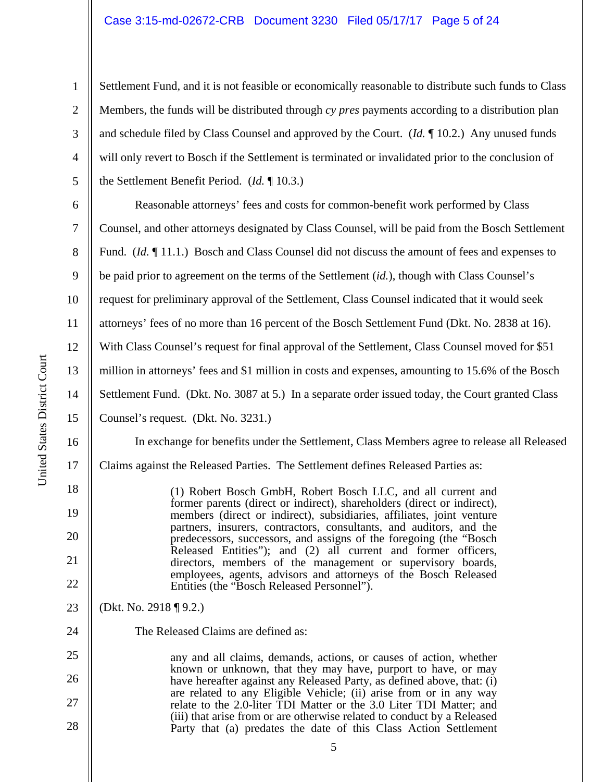#### Case 3:15-md-02672-CRB Document 3230 Filed 05/17/17 Page 5 of 24

Settlement Fund, and it is not feasible or economically reasonable to distribute such funds to Class Members, the funds will be distributed through *cy pres* payments according to a distribution plan and schedule filed by Class Counsel and approved by the Court. (*Id.* ¶ 10.2.) Any unused funds will only revert to Bosch if the Settlement is terminated or invalidated prior to the conclusion of the Settlement Benefit Period. (*Id.* ¶ 10.3.)

6 7 8 9 10 11 12 13 14 15 Reasonable attorneys' fees and costs for common-benefit work performed by Class Counsel, and other attorneys designated by Class Counsel, will be paid from the Bosch Settlement Fund. (*Id.* 11.1.) Bosch and Class Counsel did not discuss the amount of fees and expenses to be paid prior to agreement on the terms of the Settlement (*id.*), though with Class Counsel's request for preliminary approval of the Settlement, Class Counsel indicated that it would seek attorneys' fees of no more than 16 percent of the Bosch Settlement Fund (Dkt. No. 2838 at 16). With Class Counsel's request for final approval of the Settlement, Class Counsel moved for \$51 million in attorneys' fees and \$1 million in costs and expenses, amounting to 15.6% of the Bosch Settlement Fund. (Dkt. No. 3087 at 5.) In a separate order issued today, the Court granted Class Counsel's request. (Dkt. No. 3231.)

In exchange for benefits under the Settlement, Class Members agree to release all Released Claims against the Released Parties. The Settlement defines Released Parties as:

> (1) Robert Bosch GmbH, Robert Bosch LLC, and all current and former parents (direct or indirect), shareholders (direct or indirect), members (direct or indirect), subsidiaries, affiliates, joint venture partners, insurers, contractors, consultants, and auditors, and the predecessors, successors, and assigns of the foregoing (the "Bosch Released Entities"); and (2) all current and former officers, directors, members of the management or supervisory boards, employees, agents, advisors and attorneys of the Bosch Released Entities (the "Bosch Released Personnel").

23 (Dkt. No. 2918 ¶ 9.2.)

The Released Claims are defined as:

25 26 27 28 any and all claims, demands, actions, or causes of action, whether known or unknown, that they may have, purport to have, or may have hereafter against any Released Party, as defined above, that: (i) are related to any Eligible Vehicle; (ii) arise from or in any way relate to the 2.0-liter TDI Matter or the 3.0 Liter TDI Matter; and (iii) that arise from or are otherwise related to conduct by a Released Party that (a) predates the date of this Class Action Settlement

16

17

18

19

20

21

22

24

1

2

3

4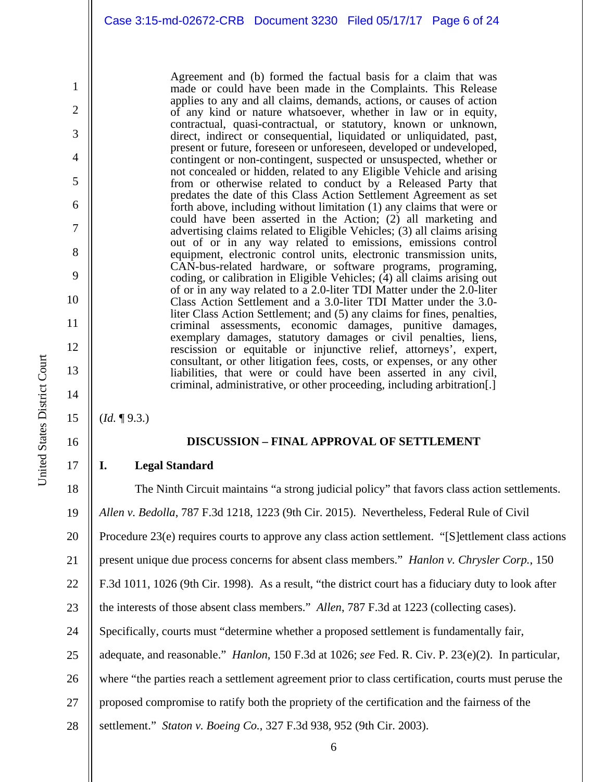Agreement and (b) formed the factual basis for a claim that was made or could have been made in the Complaints. This Release applies to any and all claims, demands, actions, or causes of action of any kind or nature whatsoever, whether in law or in equity, contractual, quasi-contractual, or statutory, known or unknown, direct, indirect or consequential, liquidated or unliquidated, past, present or future, foreseen or unforeseen, developed or undeveloped, contingent or non-contingent, suspected or unsuspected, whether or not concealed or hidden, related to any Eligible Vehicle and arising from or otherwise related to conduct by a Released Party that predates the date of this Class Action Settlement Agreement as set forth above, including without limitation (1) any claims that were or could have been asserted in the Action; (2) all marketing and advertising claims related to Eligible Vehicles; (3) all claims arising out of or in any way related to emissions, emissions control equipment, electronic control units, electronic transmission units, CAN-bus-related hardware, or software programs, programing, coding, or calibration in Eligible Vehicles;  $(\overline{4})$  all claims arising out of or in any way related to a 2.0-liter TDI Matter under the 2.0-liter Class Action Settlement and a 3.0-liter TDI Matter under the 3.0 liter Class Action Settlement; and (5) any claims for fines, penalties, criminal assessments, economic damages, punitive damages, exemplary damages, statutory damages or civil penalties, liens, rescission or equitable or injunctive relief, attorneys', expert, consultant, or other litigation fees, costs, or expenses, or any other liabilities, that were or could have been asserted in any civil, criminal, administrative, or other proceeding, including arbitration[.]

(*Id.* ¶ 9.3.)

#### **DISCUSSION – FINAL APPROVAL OF SETTLEMENT**

#### **I. Legal Standard**

18 19 20 21 22 23 24 25 26 27 28 The Ninth Circuit maintains "a strong judicial policy" that favors class action settlements. *Allen v. Bedolla*, 787 F.3d 1218, 1223 (9th Cir. 2015). Nevertheless, Federal Rule of Civil Procedure 23(e) requires courts to approve any class action settlement. "[S]ettlement class actions present unique due process concerns for absent class members." *Hanlon v. Chrysler Corp.*, 150 F.3d 1011, 1026 (9th Cir. 1998). As a result, "the district court has a fiduciary duty to look after the interests of those absent class members." *Allen*, 787 F.3d at 1223 (collecting cases). Specifically, courts must "determine whether a proposed settlement is fundamentally fair, adequate, and reasonable." *Hanlon*, 150 F.3d at 1026; *see* Fed. R. Civ. P. 23(e)(2). In particular, where "the parties reach a settlement agreement prior to class certification, courts must peruse the proposed compromise to ratify both the propriety of the certification and the fairness of the settlement." *Staton v. Boeing Co.*, 327 F.3d 938, 952 (9th Cir. 2003).

1

2

3

4

5

6

7

8

9

10

11

12

13

14

15

16

17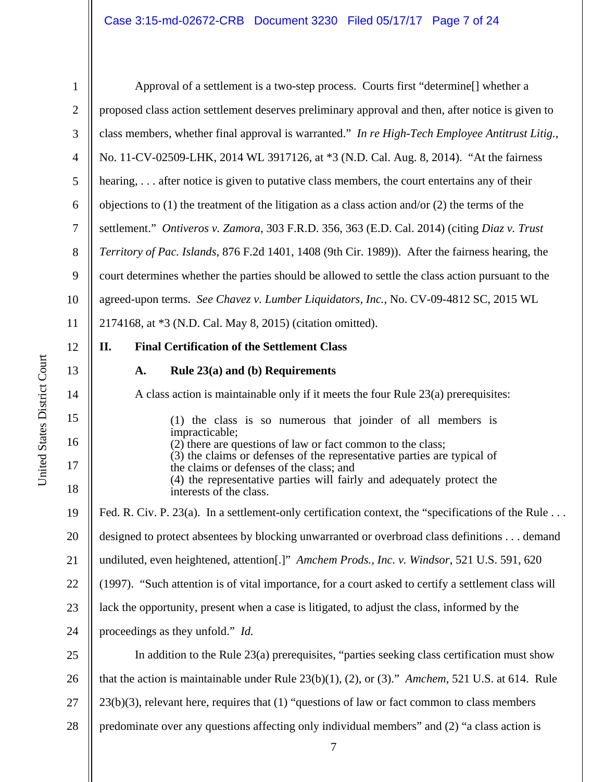| $\mathbf{1}$   | Approval of a settlement is a two-step process. Courts first "determine[] whether a                                                                      |
|----------------|----------------------------------------------------------------------------------------------------------------------------------------------------------|
| $\mathbf{2}$   | proposed class action settlement deserves preliminary approval and then, after notice is given to                                                        |
| 3              | class members, whether final approval is warranted." In re High-Tech Employee Antitrust Litig.,                                                          |
| $\overline{4}$ | No. 11-CV-02509-LHK, 2014 WL 3917126, at *3 (N.D. Cal. Aug. 8, 2014). "At the fairness                                                                   |
| 5              | hearing,  after notice is given to putative class members, the court entertains any of their                                                             |
| 6              | objections to $(1)$ the treatment of the litigation as a class action and/or $(2)$ the terms of the                                                      |
| $\tau$         | settlement." Ontiveros v. Zamora, 303 F.R.D. 356, 363 (E.D. Cal. 2014) (citing Diaz v. Trust                                                             |
| $8\,$          | Territory of Pac. Islands, 876 F.2d 1401, 1408 (9th Cir. 1989)). After the fairness hearing, the                                                         |
| $\overline{9}$ | court determines whether the parties should be allowed to settle the class action pursuant to the                                                        |
| 10             | agreed-upon terms. See Chavez v. Lumber Liquidators, Inc., No. CV-09-4812 SC, 2015 WL                                                                    |
| 11             | 2174168, at *3 (N.D. Cal. May 8, 2015) (citation omitted).                                                                                               |
| 12             | <b>Final Certification of the Settlement Class</b><br>II.                                                                                                |
| 13             | Rule $23(a)$ and (b) Requirements<br>A.                                                                                                                  |
| 14             | A class action is maintainable only if it meets the four Rule $23(a)$ prerequisites:                                                                     |
| 15             | (1) the class is so numerous that joinder of all members is                                                                                              |
| 16             | impracticable;<br>(2) there are questions of law or fact common to the class;<br>(3) the claims or defenses of the representative parties are typical of |
| 17             | the claims or defenses of the class; and<br>(4) the representative parties will fairly and adequately protect the                                        |
| 18             | interests of the class.                                                                                                                                  |
| 19             | Fed. R. Civ. P. 23(a). In a settlement-only certification context, the "specifications of the Rule                                                       |
| 20             | designed to protect absentees by blocking unwarranted or overbroad class definitions demand                                                              |
| 21             | undiluted, even heightened, attention[.]" Amchem Prods., Inc. v. Windsor, 521 U.S. 591, 620                                                              |
| 22             | (1997). "Such attention is of vital importance, for a court asked to certify a settlement class will                                                     |
| 23             | lack the opportunity, present when a case is litigated, to adjust the class, informed by the                                                             |
| 24             | proceedings as they unfold." Id.                                                                                                                         |
| 25             | In addition to the Rule 23(a) prerequisites, "parties seeking class certification must show                                                              |
| 26             | that the action is maintainable under Rule $23(b)(1)$ , (2), or (3)." Amchem, 521 U.S. at 614. Rule                                                      |
| 27             | $23(b)(3)$ , relevant here, requires that (1) "questions of law or fact common to class members                                                          |
| 28             | predominate over any questions affecting only individual members" and (2) "a class action is                                                             |
|                |                                                                                                                                                          |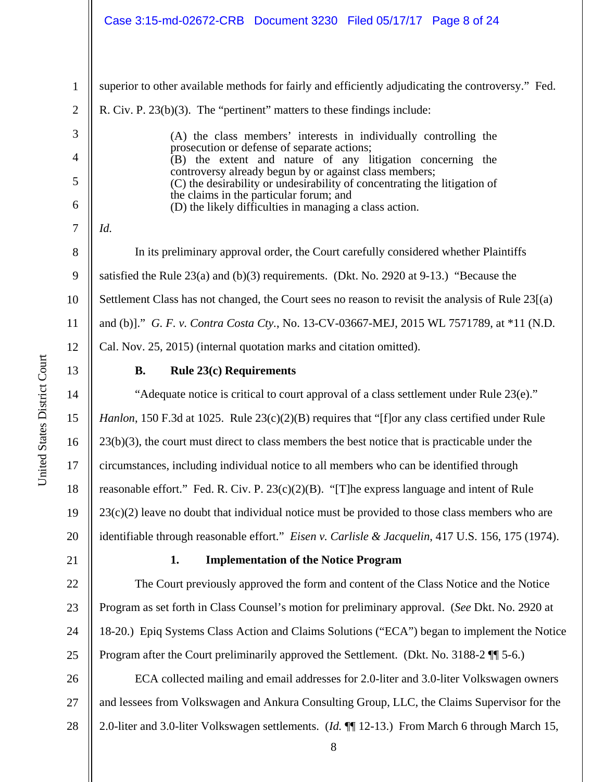| 1              | superior to other available methods for fairly and efficiently adjudicating the controversy." Fed.                                  |
|----------------|-------------------------------------------------------------------------------------------------------------------------------------|
| $\overline{2}$ | R. Civ. P. 23(b)(3). The "pertinent" matters to these findings include:                                                             |
| 3              | (A) the class members' interests in individually controlling the                                                                    |
| $\overline{4}$ | prosecution or defense of separate actions;<br>(B) the extent and nature of any litigation concerning the                           |
| 5              | controversy already begun by or against class members;<br>(C) the desirability or undesirability of concentrating the litigation of |
| 6              | the claims in the particular forum; and<br>(D) the likely difficulties in managing a class action.                                  |
| 7              | Id.                                                                                                                                 |
| 8              | In its preliminary approval order, the Court carefully considered whether Plaintiffs                                                |
| 9              | satisfied the Rule $23(a)$ and (b)(3) requirements. (Dkt. No. 2920 at 9-13.) "Because the                                           |
| 10             | Settlement Class has not changed, the Court sees no reason to revisit the analysis of Rule 23[(a)                                   |
| 11             | and (b)]." G. F. v. Contra Costa Cty., No. 13-CV-03667-MEJ, 2015 WL 7571789, at *11 (N.D.                                           |
| 12             | Cal. Nov. 25, 2015) (internal quotation marks and citation omitted).                                                                |
| 13             | <b>Rule 23(c) Requirements</b><br><b>B.</b>                                                                                         |
| 14             | "Adequate notice is critical to court approval of a class settlement under Rule 23(e)."                                             |
| 15             | Hanlon, 150 F.3d at 1025. Rule $23(c)(2)(B)$ requires that "[f] or any class certified under Rule                                   |
| 16             | $23(b)(3)$ , the court must direct to class members the best notice that is practicable under the                                   |
| 17             | circumstances, including individual notice to all members who can be identified through                                             |
| 18             | reasonable effort." Fed. R. Civ. P. 23(c)(2)(B). "[T]he express language and intent of Rule                                         |
| 19             | $23(c)(2)$ leave no doubt that individual notice must be provided to those class members who are                                    |
| 20             | identifiable through reasonable effort." Eisen v. Carlisle & Jacquelin, 417 U.S. 156, 175 (1974).                                   |
| 21             | <b>Implementation of the Notice Program</b><br>1.                                                                                   |
| 22             | The Court previously approved the form and content of the Class Notice and the Notice                                               |
| 23             | Program as set forth in Class Counsel's motion for preliminary approval. (See Dkt. No. 2920 at                                      |
|                |                                                                                                                                     |

24 25 18-20.) Epiq Systems Class Action and Claims Solutions ("ECA") began to implement the Notice Program after the Court preliminarily approved the Settlement. (Dkt. No. 3188-2 ¶¶ 5-6.)

26 27 28 ECA collected mailing and email addresses for 2.0-liter and 3.0-liter Volkswagen owners and lessees from Volkswagen and Ankura Consulting Group, LLC, the Claims Supervisor for the 2.0-liter and 3.0-liter Volkswagen settlements. (*Id.* ¶¶ 12-13.) From March 6 through March 15,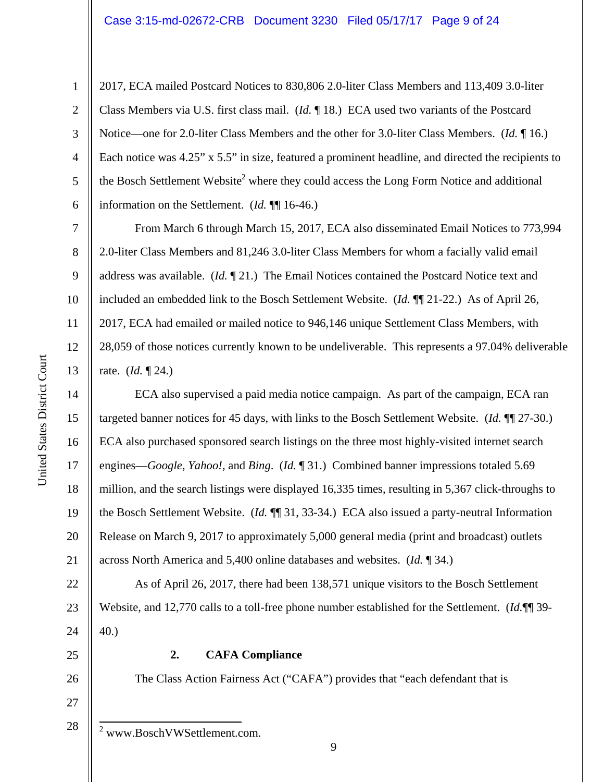#### Case 3:15-md-02672-CRB Document 3230 Filed 05/17/17 Page 9 of 24

2017, ECA mailed Postcard Notices to 830,806 2.0-liter Class Members and 113,409 3.0-liter Class Members via U.S. first class mail. (*Id.* ¶ 18.) ECA used two variants of the Postcard Notice—one for 2.0-liter Class Members and the other for 3.0-liter Class Members. (*Id.* ¶ 16.) Each notice was 4.25" x 5.5" in size, featured a prominent headline, and directed the recipients to the Bosch Settlement Website<sup>2</sup> where they could access the Long Form Notice and additional information on the Settlement. (*Id.* ¶¶ 16-46.)

From March 6 through March 15, 2017, ECA also disseminated Email Notices to 773,994 2.0-liter Class Members and 81,246 3.0-liter Class Members for whom a facially valid email address was available. (*Id.* ¶ 21.) The Email Notices contained the Postcard Notice text and included an embedded link to the Bosch Settlement Website. (*Id.* ¶¶ 21-22.) As of April 26, 2017, ECA had emailed or mailed notice to 946,146 unique Settlement Class Members, with 28,059 of those notices currently known to be undeliverable. This represents a 97.04% deliverable rate. (*Id.* ¶ 24.)

14 15 16 17 18 19 20 21 ECA also supervised a paid media notice campaign. As part of the campaign, ECA ran targeted banner notices for 45 days, with links to the Bosch Settlement Website. (*Id.* ¶¶ 27-30.) ECA also purchased sponsored search listings on the three most highly-visited internet search engines—*Google*, *Yahoo!*, and *Bing*.(*Id.* ¶ 31.) Combined banner impressions totaled 5.69 million, and the search listings were displayed 16,335 times, resulting in 5,367 click-throughs to the Bosch Settlement Website. (*Id.* ¶¶ 31, 33-34.) ECA also issued a party-neutral Information Release on March 9, 2017 to approximately 5,000 general media (print and broadcast) outlets across North America and 5,400 online databases and websites. (*Id.* ¶ 34.)

22 23 24 As of April 26, 2017, there had been 138,571 unique visitors to the Bosch Settlement Website, and 12,770 calls to a toll-free phone number established for the Settlement. (*Id.*¶¶ 39- 40.)

25

27

- 26
- The Class Action Fairness Act ("CAFA") provides that "each defendant that is

**2. CAFA Compliance** 

28  $\overline{\phantom{a}}$ 2 www.BoschVWSettlement.com.

1

2

3

4

5

6

7

8

9

10

11

12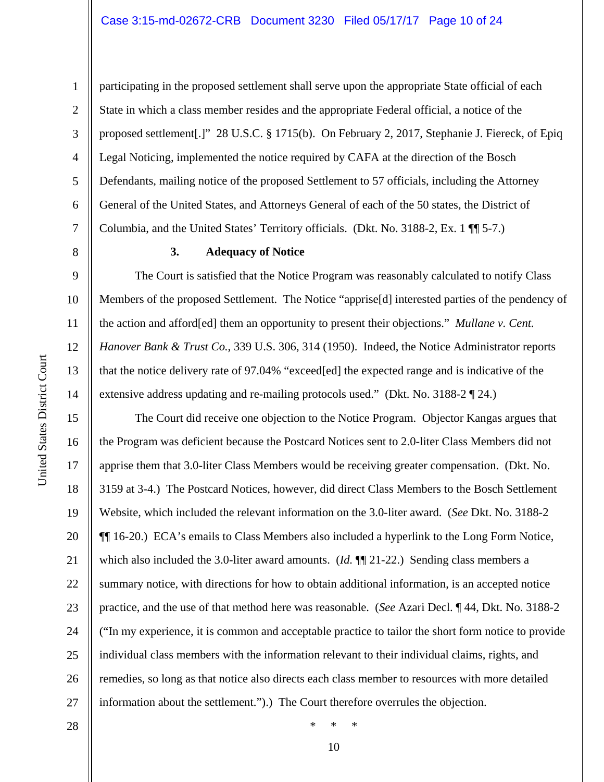9

10

11

12

13

14

15

16

17

18

19

21

23

24

25

1

participating in the proposed settlement shall serve upon the appropriate State official of each State in which a class member resides and the appropriate Federal official, a notice of the proposed settlement[.]" 28 U.S.C. § 1715(b). On February 2, 2017, Stephanie J. Fiereck, of Epiq Legal Noticing, implemented the notice required by CAFA at the direction of the Bosch Defendants, mailing notice of the proposed Settlement to 57 officials, including the Attorney General of the United States, and Attorneys General of each of the 50 states, the District of Columbia, and the United States' Territory officials. (Dkt. No. 3188-2, Ex. 1 ¶¶ 5-7.)

#### **3. Adequacy of Notice**

The Court is satisfied that the Notice Program was reasonably calculated to notify Class Members of the proposed Settlement. The Notice "apprise[d] interested parties of the pendency of the action and afford[ed] them an opportunity to present their objections." *Mullane v. Cent. Hanover Bank & Trust Co.*, 339 U.S. 306, 314 (1950). Indeed, the Notice Administrator reports that the notice delivery rate of 97.04% "exceed[ed] the expected range and is indicative of the extensive address updating and re-mailing protocols used." (Dkt. No. 3188-2 ¶ 24.)

20 22 26 27 The Court did receive one objection to the Notice Program. Objector Kangas argues that the Program was deficient because the Postcard Notices sent to 2.0-liter Class Members did not apprise them that 3.0-liter Class Members would be receiving greater compensation. (Dkt. No. 3159 at 3-4.) The Postcard Notices, however, did direct Class Members to the Bosch Settlement Website, which included the relevant information on the 3.0-liter award. (*See* Dkt. No. 3188-2 ¶¶ 16-20.) ECA's emails to Class Members also included a hyperlink to the Long Form Notice, which also included the 3.0-liter award amounts. (*Id.* ¶¶ 21-22.) Sending class members a summary notice, with directions for how to obtain additional information, is an accepted notice practice, and the use of that method here was reasonable. (*See* Azari Decl. ¶ 44, Dkt. No. 3188-2 ("In my experience, it is common and acceptable practice to tailor the short form notice to provide individual class members with the information relevant to their individual claims, rights, and remedies, so long as that notice also directs each class member to resources with more detailed information about the settlement.").) The Court therefore overrules the objection.

28

10 \* \* \*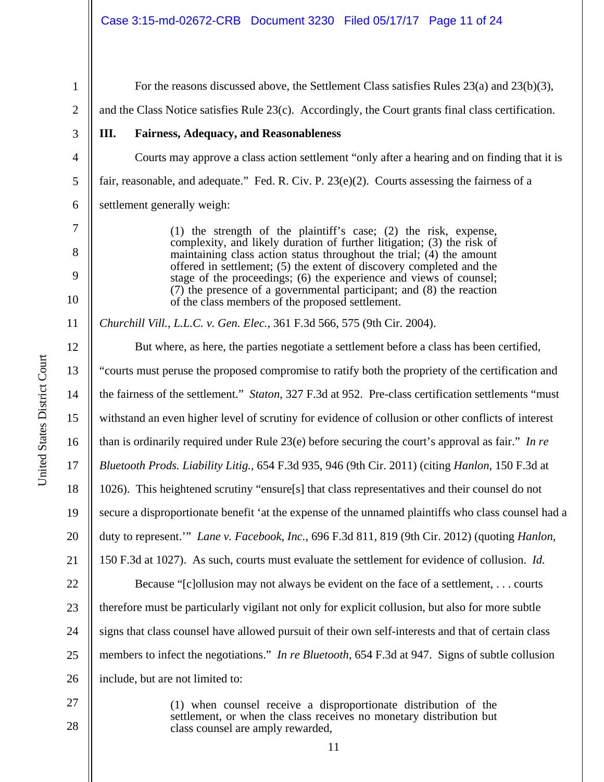2 3 4 5 6 7 8 9 10 11 12 13 14 15 16 17 18 19 20 21 22 23 24 25 26 27 and the Class Notice satisfies Rule 23(c). Accordingly, the Court grants final class certification. **III. Fairness, Adequacy, and Reasonableness**  Courts may approve a class action settlement "only after a hearing and on finding that it is fair, reasonable, and adequate." Fed. R. Civ. P.  $23(e)(2)$ . Courts assessing the fairness of a settlement generally weigh: (1) the strength of the plaintiff's case; (2) the risk, expense, complexity, and likely duration of further litigation; (3) the risk of maintaining class action status throughout the trial; (4) the amount offered in settlement; (5) the extent of discovery completed and the stage of the proceedings; (6) the experience and views of counsel; (7) the presence of a governmental participant; and (8) the reaction of the class members of the proposed settlement. *Churchill Vill., L.L.C. v. Gen. Elec.*, 361 F.3d 566, 575 (9th Cir. 2004). But where, as here, the parties negotiate a settlement before a class has been certified, "courts must peruse the proposed compromise to ratify both the propriety of the certification and the fairness of the settlement." *Staton*, 327 F.3d at 952. Pre-class certification settlements "must withstand an even higher level of scrutiny for evidence of collusion or other conflicts of interest than is ordinarily required under Rule 23(e) before securing the court's approval as fair." *In re Bluetooth Prods. Liability Litig.*, 654 F.3d 935, 946 (9th Cir. 2011) (citing *Hanlon*, 150 F.3d at 1026). This heightened scrutiny "ensure[s] that class representatives and their counsel do not secure a disproportionate benefit 'at the expense of the unnamed plaintiffs who class counsel had a duty to represent.'" *Lane v. Facebook, Inc.*, 696 F.3d 811, 819 (9th Cir. 2012) (quoting *Hanlon*, 150 F.3d at 1027). As such, courts must evaluate the settlement for evidence of collusion. *Id.* Because "[c]ollusion may not always be evident on the face of a settlement, . . . courts therefore must be particularly vigilant not only for explicit collusion, but also for more subtle signs that class counsel have allowed pursuit of their own self-interests and that of certain class members to infect the negotiations." *In re Bluetooth*, 654 F.3d at 947. Signs of subtle collusion include, but are not limited to:

28

1

For the reasons discussed above, the Settlement Class satisfies Rules 23(a) and 23(b)(3),

(1) when counsel receive a disproportionate distribution of the settlement, or when the class receives no monetary distribution but class counsel are amply rewarded,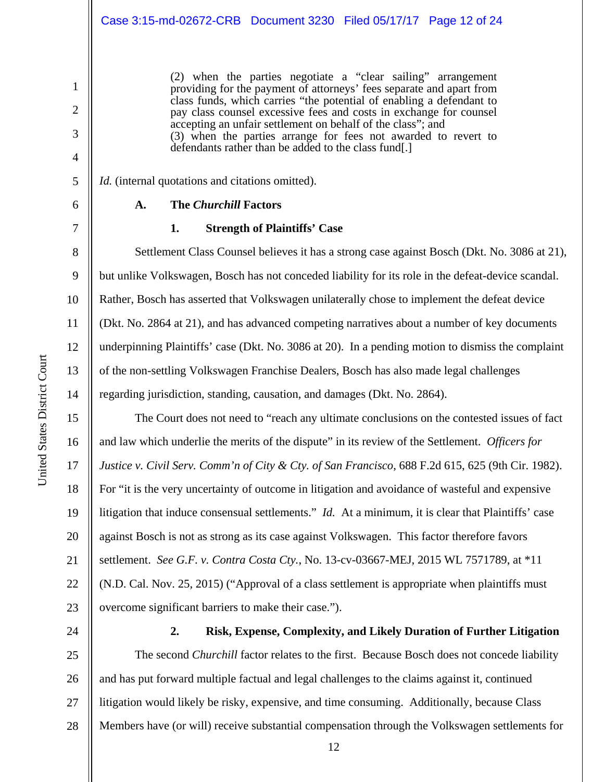(2) when the parties negotiate a "clear sailing" arrangement providing for the payment of attorneys' fees separate and apart from class funds, which carries "the potential of enabling a defendant to pay class counsel excessive fees and costs in exchange for counsel accepting an unfair settlement on behalf of the class"; and (3) when the parties arrange for fees not awarded to revert to defendants rather than be added to the class fund.

*Id.* (internal quotations and citations omitted).

|  | I |  |  |  |  |
|--|---|--|--|--|--|
|  |   |  |  |  |  |

1

2

3

4

5

6

7

8

9

10

11

12

13

14

15

16

17

18

19

20

21

22

23

## **A. The** *Churchill* **Factors**

#### **1. Strength of Plaintiffs' Case**

Settlement Class Counsel believes it has a strong case against Bosch (Dkt. No. 3086 at 21), but unlike Volkswagen, Bosch has not conceded liability for its role in the defeat-device scandal. Rather, Bosch has asserted that Volkswagen unilaterally chose to implement the defeat device (Dkt. No. 2864 at 21), and has advanced competing narratives about a number of key documents underpinning Plaintiffs' case (Dkt. No. 3086 at 20). In a pending motion to dismiss the complaint of the non-settling Volkswagen Franchise Dealers, Bosch has also made legal challenges regarding jurisdiction, standing, causation, and damages (Dkt. No. 2864).

The Court does not need to "reach any ultimate conclusions on the contested issues of fact and law which underlie the merits of the dispute" in its review of the Settlement. *Officers for Justice v. Civil Serv. Comm'n of City & Cty. of San Francisco*, 688 F.2d 615, 625 (9th Cir. 1982). For "it is the very uncertainty of outcome in litigation and avoidance of wasteful and expensive litigation that induce consensual settlements." *Id.* At a minimum, it is clear that Plaintiffs' case against Bosch is not as strong as its case against Volkswagen. This factor therefore favors settlement. *See G.F. v. Contra Costa Cty.*, No. 13-cv-03667-MEJ, 2015 WL 7571789, at \*11 (N.D. Cal. Nov. 25, 2015) ("Approval of a class settlement is appropriate when plaintiffs must overcome significant barriers to make their case.").

24

## **2. Risk, Expense, Complexity, and Likely Duration of Further Litigation**

25 26 27 28 The second *Churchill* factor relates to the first. Because Bosch does not concede liability and has put forward multiple factual and legal challenges to the claims against it, continued litigation would likely be risky, expensive, and time consuming. Additionally, because Class Members have (or will) receive substantial compensation through the Volkswagen settlements for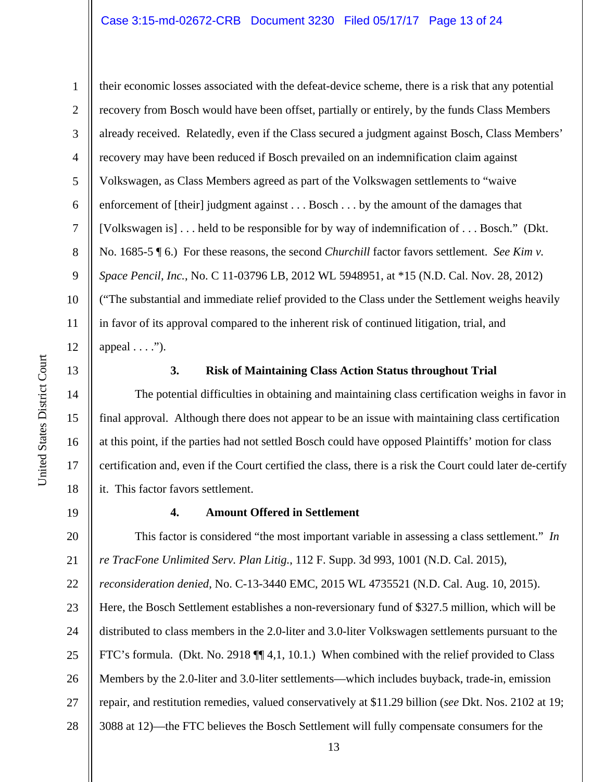## Case 3:15-md-02672-CRB Document 3230 Filed 05/17/17 Page 13 of 24

their economic losses associated with the defeat-device scheme, there is a risk that any potential recovery from Bosch would have been offset, partially or entirely, by the funds Class Members already received. Relatedly, even if the Class secured a judgment against Bosch, Class Members' recovery may have been reduced if Bosch prevailed on an indemnification claim against Volkswagen, as Class Members agreed as part of the Volkswagen settlements to "waive enforcement of [their] judgment against . . . Bosch . . . by the amount of the damages that [Volkswagen is] . . . held to be responsible for by way of indemnification of . . . Bosch." (Dkt. No. 1685-5 ¶ 6.) For these reasons, the second *Churchill* factor favors settlement. *See Kim v. Space Pencil, Inc.*, No. C 11-03796 LB, 2012 WL 5948951, at \*15 (N.D. Cal. Nov. 28, 2012) ("The substantial and immediate relief provided to the Class under the Settlement weighs heavily in favor of its approval compared to the inherent risk of continued litigation, trial, and appeal  $\dots$ .").



1

2

3

4

5

6

7

8

9

10

11

12

14

15

16

17

18

#### **3. Risk of Maintaining Class Action Status throughout Trial**

The potential difficulties in obtaining and maintaining class certification weighs in favor in final approval. Although there does not appear to be an issue with maintaining class certification at this point, if the parties had not settled Bosch could have opposed Plaintiffs' motion for class certification and, even if the Court certified the class, there is a risk the Court could later de-certify it. This factor favors settlement.

19

#### **4. Amount Offered in Settlement**

20 21 This factor is considered "the most important variable in assessing a class settlement." *In re TracFone Unlimited Serv. Plan Litig.*, 112 F. Supp. 3d 993, 1001 (N.D. Cal. 2015),

22 *reconsideration denied*, No. C-13-3440 EMC, 2015 WL 4735521 (N.D. Cal. Aug. 10, 2015).

23 24 25 26 27 28 Here, the Bosch Settlement establishes a non-reversionary fund of \$327.5 million, which will be distributed to class members in the 2.0-liter and 3.0-liter Volkswagen settlements pursuant to the FTC's formula. (Dkt. No. 2918 ¶¶ 4,1, 10.1.) When combined with the relief provided to Class Members by the 2.0-liter and 3.0-liter settlements—which includes buyback, trade-in, emission repair, and restitution remedies, valued conservatively at \$11.29 billion (*see* Dkt. Nos. 2102 at 19; 3088 at 12)—the FTC believes the Bosch Settlement will fully compensate consumers for the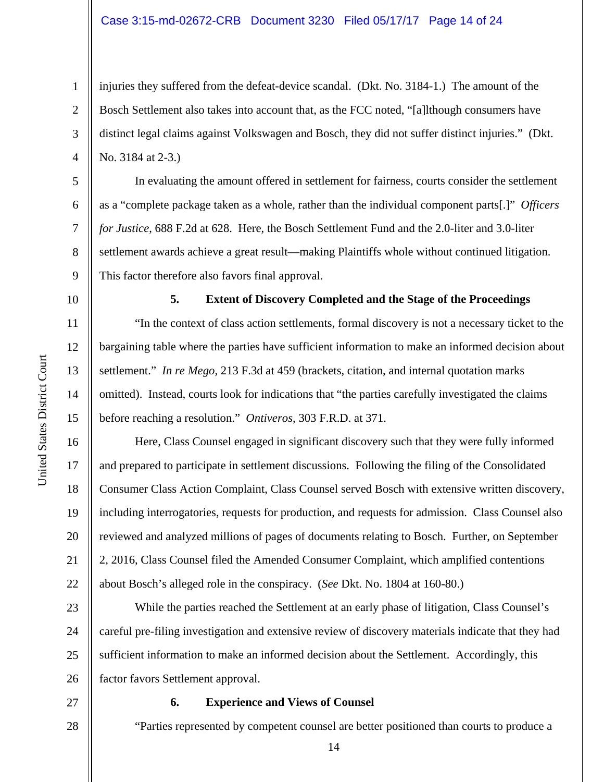## Case 3:15-md-02672-CRB Document 3230 Filed 05/17/17 Page 14 of 24

injuries they suffered from the defeat-device scandal. (Dkt. No. 3184-1.) The amount of the Bosch Settlement also takes into account that, as the FCC noted, "[a]lthough consumers have distinct legal claims against Volkswagen and Bosch, they did not suffer distinct injuries." (Dkt. No. 3184 at 2-3.)

In evaluating the amount offered in settlement for fairness, courts consider the settlement as a "complete package taken as a whole, rather than the individual component parts[.]" *Officers for Justice*, 688 F.2d at 628. Here, the Bosch Settlement Fund and the 2.0-liter and 3.0-liter settlement awards achieve a great result—making Plaintiffs whole without continued litigation. This factor therefore also favors final approval.

10

11

12

13

14

15

16

17

18

19

20

21

22

1

2

3

4

5

6

7

8

9

#### **5. Extent of Discovery Completed and the Stage of the Proceedings**

"In the context of class action settlements, formal discovery is not a necessary ticket to the bargaining table where the parties have sufficient information to make an informed decision about settlement." *In re Mego*, 213 F.3d at 459 (brackets, citation, and internal quotation marks omitted). Instead, courts look for indications that "the parties carefully investigated the claims before reaching a resolution." *Ontiveros*, 303 F.R.D. at 371.

Here, Class Counsel engaged in significant discovery such that they were fully informed and prepared to participate in settlement discussions. Following the filing of the Consolidated Consumer Class Action Complaint, Class Counsel served Bosch with extensive written discovery, including interrogatories, requests for production, and requests for admission. Class Counsel also reviewed and analyzed millions of pages of documents relating to Bosch. Further, on September 2, 2016, Class Counsel filed the Amended Consumer Complaint, which amplified contentions about Bosch's alleged role in the conspiracy. (*See* Dkt. No. 1804 at 160-80.)

23 24 25 26 While the parties reached the Settlement at an early phase of litigation, Class Counsel's careful pre-filing investigation and extensive review of discovery materials indicate that they had sufficient information to make an informed decision about the Settlement. Accordingly, this factor favors Settlement approval.

27

28

#### **6. Experience and Views of Counsel**

"Parties represented by competent counsel are better positioned than courts to produce a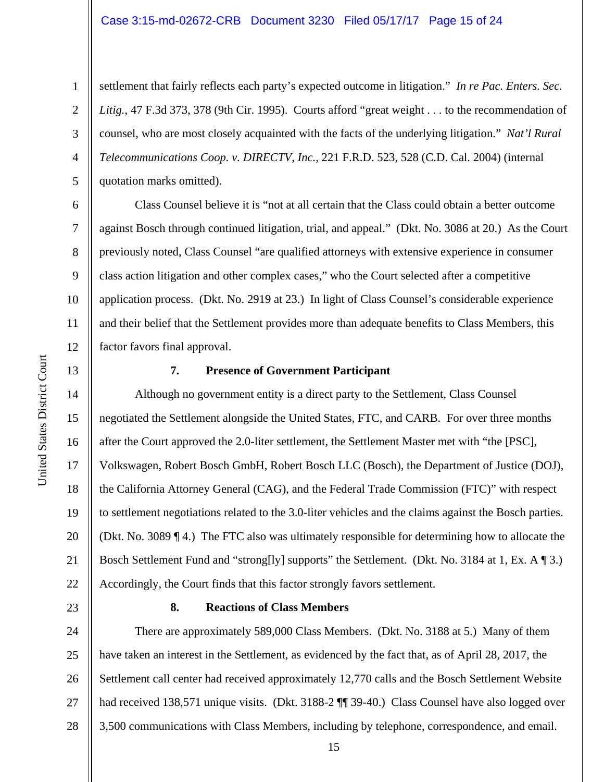settlement that fairly reflects each party's expected outcome in litigation." *In re Pac. Enters. Sec. Litig.*, 47 F.3d 373, 378 (9th Cir. 1995). Courts afford "great weight . . . to the recommendation of counsel, who are most closely acquainted with the facts of the underlying litigation." *Nat'l Rural Telecommunications Coop. v. DIRECTV, Inc.*, 221 F.R.D. 523, 528 (C.D. Cal. 2004) (internal quotation marks omitted).

Class Counsel believe it is "not at all certain that the Class could obtain a better outcome against Bosch through continued litigation, trial, and appeal." (Dkt. No. 3086 at 20.) As the Court previously noted, Class Counsel "are qualified attorneys with extensive experience in consumer class action litigation and other complex cases," who the Court selected after a competitive application process. (Dkt. No. 2919 at 23.) In light of Class Counsel's considerable experience and their belief that the Settlement provides more than adequate benefits to Class Members, this factor favors final approval.

## 13

1

2

3

4

5

6

7

8

9

10

11

12

#### **7. Presence of Government Participant**

14 15 16 17 18 19 20 21 22 Although no government entity is a direct party to the Settlement, Class Counsel negotiated the Settlement alongside the United States, FTC, and CARB. For over three months after the Court approved the 2.0-liter settlement, the Settlement Master met with "the [PSC], Volkswagen, Robert Bosch GmbH, Robert Bosch LLC (Bosch), the Department of Justice (DOJ), the California Attorney General (CAG), and the Federal Trade Commission (FTC)" with respect to settlement negotiations related to the 3.0-liter vehicles and the claims against the Bosch parties. (Dkt. No. 3089 ¶ 4.) The FTC also was ultimately responsible for determining how to allocate the Bosch Settlement Fund and "strong[ly] supports" the Settlement. (Dkt. No. 3184 at 1, Ex. A ¶ 3.) Accordingly, the Court finds that this factor strongly favors settlement.

23

#### **8. Reactions of Class Members**

24 25 26 27 28 There are approximately 589,000 Class Members. (Dkt. No. 3188 at 5.) Many of them have taken an interest in the Settlement, as evidenced by the fact that, as of April 28, 2017, the Settlement call center had received approximately 12,770 calls and the Bosch Settlement Website had received 138,571 unique visits. (Dkt. 3188-2  $\P$  39-40.) Class Counsel have also logged over 3,500 communications with Class Members, including by telephone, correspondence, and email.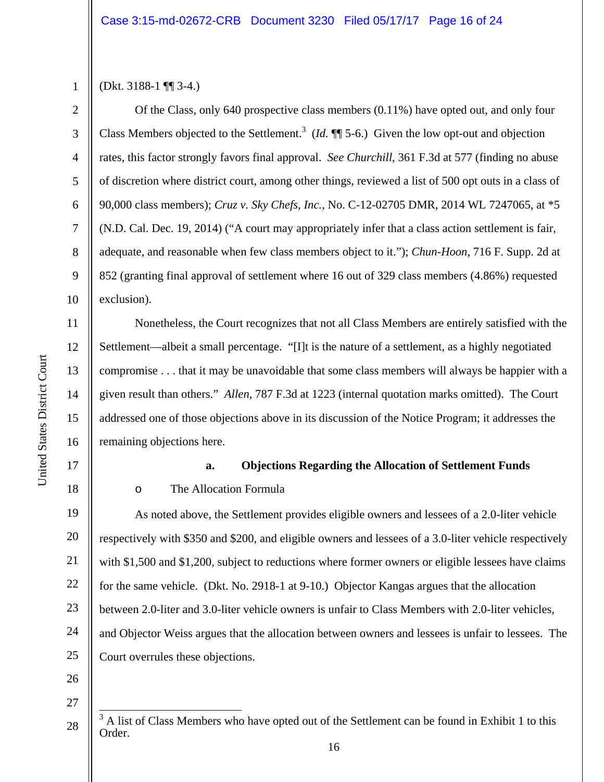1 2

3

4

5

6

7

8

9

10

11

12

13

14

15

United States District Court

United States District Court

16

(Dkt. 3188-1 ¶¶ 3-4.)

Of the Class, only 640 prospective class members (0.11%) have opted out, and only four Class Members objected to the Settlement.<sup>3</sup> (*Id.*  $\P$  5-6.) Given the low opt-out and objection rates, this factor strongly favors final approval. *See Churchill*, 361 F.3d at 577 (finding no abuse of discretion where district court, among other things, reviewed a list of 500 opt outs in a class of 90,000 class members); *Cruz v. Sky Chefs, Inc.*, No. C-12-02705 DMR, 2014 WL 7247065, at \*5 (N.D. Cal. Dec. 19, 2014) ("A court may appropriately infer that a class action settlement is fair, adequate, and reasonable when few class members object to it."); *Chun-Hoon*, 716 F. Supp. 2d at 852 (granting final approval of settlement where 16 out of 329 class members (4.86%) requested exclusion).

Nonetheless, the Court recognizes that not all Class Members are entirely satisfied with the Settlement—albeit a small percentage. "[I]t is the nature of a settlement, as a highly negotiated compromise . . . that it may be unavoidable that some class members will always be happier with a given result than others." *Allen*, 787 F.3d at 1223 (internal quotation marks omitted). The Court addressed one of those objections above in its discussion of the Notice Program; it addresses the remaining objections here.

17

18

## **a. Objections Regarding the Allocation of Settlement Funds**

## o The Allocation Formula

19 20 21 22 23 24 25 As noted above, the Settlement provides eligible owners and lessees of a 2.0-liter vehicle respectively with \$350 and \$200, and eligible owners and lessees of a 3.0-liter vehicle respectively with \$1,500 and \$1,200, subject to reductions where former owners or eligible lessees have claims for the same vehicle. (Dkt. No. 2918-1 at 9-10.) Objector Kangas argues that the allocation between 2.0-liter and 3.0-liter vehicle owners is unfair to Class Members with 2.0-liter vehicles, and Objector Weiss argues that the allocation between owners and lessees is unfair to lessees. The Court overrules these objections.

26

27

<sup>28</sup>   $\overline{a}$ <sup>3</sup> A list of Class Members who have opted out of the Settlement can be found in Exhibit 1 to this Order.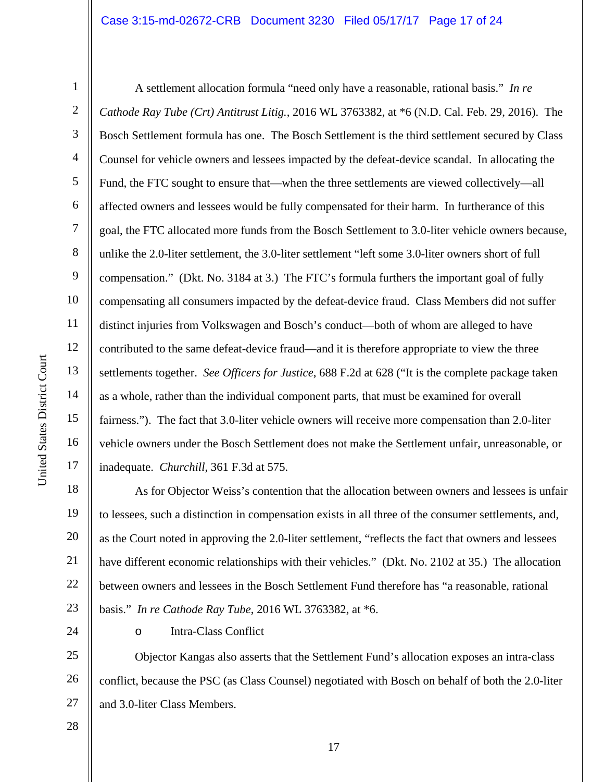## Case 3:15-md-02672-CRB Document 3230 Filed 05/17/17 Page 17 of 24

1

2

3

4

5

6

7

8

9

10

11

12

13

14

15

16

17

A settlement allocation formula "need only have a reasonable, rational basis." *In re Cathode Ray Tube (Crt) Antitrust Litig.*, 2016 WL 3763382, at \*6 (N.D. Cal. Feb. 29, 2016). The Bosch Settlement formula has one. The Bosch Settlement is the third settlement secured by Class Counsel for vehicle owners and lessees impacted by the defeat-device scandal. In allocating the Fund, the FTC sought to ensure that—when the three settlements are viewed collectively—all affected owners and lessees would be fully compensated for their harm. In furtherance of this goal, the FTC allocated more funds from the Bosch Settlement to 3.0-liter vehicle owners because, unlike the 2.0-liter settlement, the 3.0-liter settlement "left some 3.0-liter owners short of full compensation." (Dkt. No. 3184 at 3.) The FTC's formula furthers the important goal of fully compensating all consumers impacted by the defeat-device fraud. Class Members did not suffer distinct injuries from Volkswagen and Bosch's conduct—both of whom are alleged to have contributed to the same defeat-device fraud—and it is therefore appropriate to view the three settlements together. *See Officers for Justice*, 688 F.2d at 628 ("It is the complete package taken as a whole, rather than the individual component parts, that must be examined for overall fairness."). The fact that 3.0-liter vehicle owners will receive more compensation than 2.0-liter vehicle owners under the Bosch Settlement does not make the Settlement unfair, unreasonable, or inadequate. *Churchill*, 361 F.3d at 575.

18 19 20 21 22 23 As for Objector Weiss's contention that the allocation between owners and lessees is unfair to lessees, such a distinction in compensation exists in all three of the consumer settlements, and, as the Court noted in approving the 2.0-liter settlement, "reflects the fact that owners and lessees have different economic relationships with their vehicles." (Dkt. No. 2102 at 35.) The allocation between owners and lessees in the Bosch Settlement Fund therefore has "a reasonable, rational basis." *In re Cathode Ray Tube*, 2016 WL 3763382, at \*6.

o Intra-Class Conflict

25 26 27 Objector Kangas also asserts that the Settlement Fund's allocation exposes an intra-class conflict, because the PSC (as Class Counsel) negotiated with Bosch on behalf of both the 2.0-liter and 3.0-liter Class Members.

28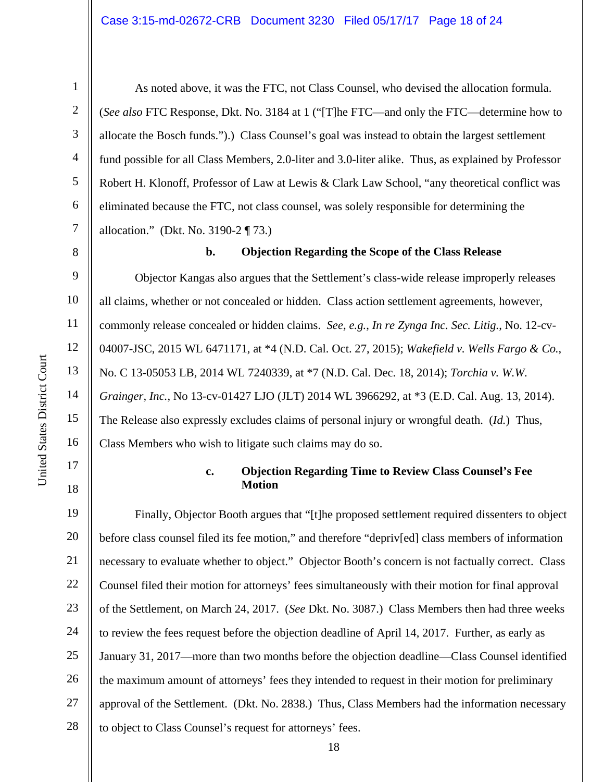As noted above, it was the FTC, not Class Counsel, who devised the allocation formula. (*See also* FTC Response, Dkt. No. 3184 at 1 ("[T]he FTC—and only the FTC—determine how to allocate the Bosch funds.").) Class Counsel's goal was instead to obtain the largest settlement fund possible for all Class Members, 2.0-liter and 3.0-liter alike. Thus, as explained by Professor Robert H. Klonoff, Professor of Law at Lewis & Clark Law School, "any theoretical conflict was eliminated because the FTC, not class counsel, was solely responsible for determining the allocation." (Dkt. No. 3190-2 ¶ 73.)

8

1

2

3

4

5

6

7

9

10

11

12

13

14

15

United States District Court

United States District Court

16

17

18

#### **b. Objection Regarding the Scope of the Class Release**

Objector Kangas also argues that the Settlement's class-wide release improperly releases all claims, whether or not concealed or hidden. Class action settlement agreements, however, commonly release concealed or hidden claims. *See, e.g.*, *In re Zynga Inc. Sec. Litig.*, No. 12-cv-04007-JSC, 2015 WL 6471171, at \*4 (N.D. Cal. Oct. 27, 2015); *Wakefield v. Wells Fargo & Co.*, No. C 13-05053 LB, 2014 WL 7240339, at \*7 (N.D. Cal. Dec. 18, 2014); *Torchia v. W.W. Grainger, Inc.*, No 13-cv-01427 LJO (JLT) 2014 WL 3966292, at \*3 (E.D. Cal. Aug. 13, 2014). The Release also expressly excludes claims of personal injury or wrongful death. (*Id.*) Thus, Class Members who wish to litigate such claims may do so.

#### **c. Objection Regarding Time to Review Class Counsel's Fee Motion**

19 20 21 22 23 24 25 26 27 28 Finally, Objector Booth argues that "[t]he proposed settlement required dissenters to object before class counsel filed its fee motion," and therefore "depriv[ed] class members of information necessary to evaluate whether to object." Objector Booth's concern is not factually correct. Class Counsel filed their motion for attorneys' fees simultaneously with their motion for final approval of the Settlement, on March 24, 2017. (*See* Dkt. No. 3087.) Class Members then had three weeks to review the fees request before the objection deadline of April 14, 2017. Further, as early as January 31, 2017—more than two months before the objection deadline—Class Counsel identified the maximum amount of attorneys' fees they intended to request in their motion for preliminary approval of the Settlement. (Dkt. No. 2838.) Thus, Class Members had the information necessary to object to Class Counsel's request for attorneys' fees.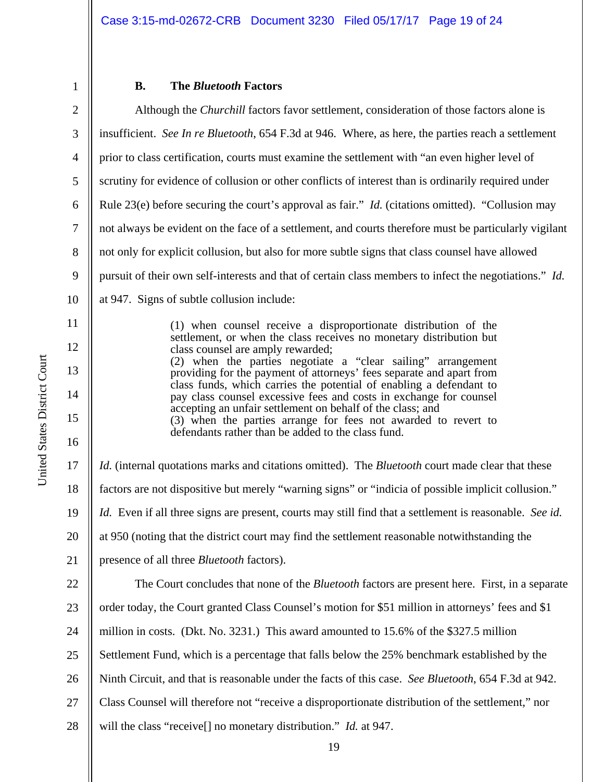#### **B. The** *Bluetooth* **Factors**

2 3 4 5 6 7 8 9 10 11 12 Although the *Churchill* factors favor settlement, consideration of those factors alone is insufficient. *See In re Bluetooth*, 654 F.3d at 946. Where, as here, the parties reach a settlement prior to class certification, courts must examine the settlement with "an even higher level of scrutiny for evidence of collusion or other conflicts of interest than is ordinarily required under Rule 23(e) before securing the court's approval as fair." *Id.* (citations omitted). "Collusion may not always be evident on the face of a settlement, and courts therefore must be particularly vigilant not only for explicit collusion, but also for more subtle signs that class counsel have allowed pursuit of their own self-interests and that of certain class members to infect the negotiations." *Id.* at 947. Signs of subtle collusion include: (1) when counsel receive a disproportionate distribution of the settlement, or when the class receives no monetary distribution but class counsel are amply rewarded;

(2) when the parties negotiate a "clear sailing" arrangement providing for the payment of attorneys' fees separate and apart from class funds, which carries the potential of enabling a defendant to pay class counsel excessive fees and costs in exchange for counsel accepting an unfair settlement on behalf of the class; and (3) when the parties arrange for fees not awarded to revert to defendants rather than be added to the class fund.

17 18 19 20 21 22 *Id.* (internal quotations marks and citations omitted). The *Bluetooth* court made clear that these factors are not dispositive but merely "warning signs" or "indicia of possible implicit collusion." *Id.* Even if all three signs are present, courts may still find that a settlement is reasonable. *See id.* at 950 (noting that the district court may find the settlement reasonable notwithstanding the presence of all three *Bluetooth* factors). The Court concludes that none of the *Bluetooth* factors are present here. First, in a separate

23 24 25 26 27 28 order today, the Court granted Class Counsel's motion for \$51 million in attorneys' fees and \$1 million in costs. (Dkt. No. 3231.) This award amounted to 15.6% of the \$327.5 million Settlement Fund, which is a percentage that falls below the 25% benchmark established by the Ninth Circuit, and that is reasonable under the facts of this case. *See Bluetooth*, 654 F.3d at 942. Class Counsel will therefore not "receive a disproportionate distribution of the settlement," nor will the class "receive[] no monetary distribution." *Id.* at 947.

13

14

15

16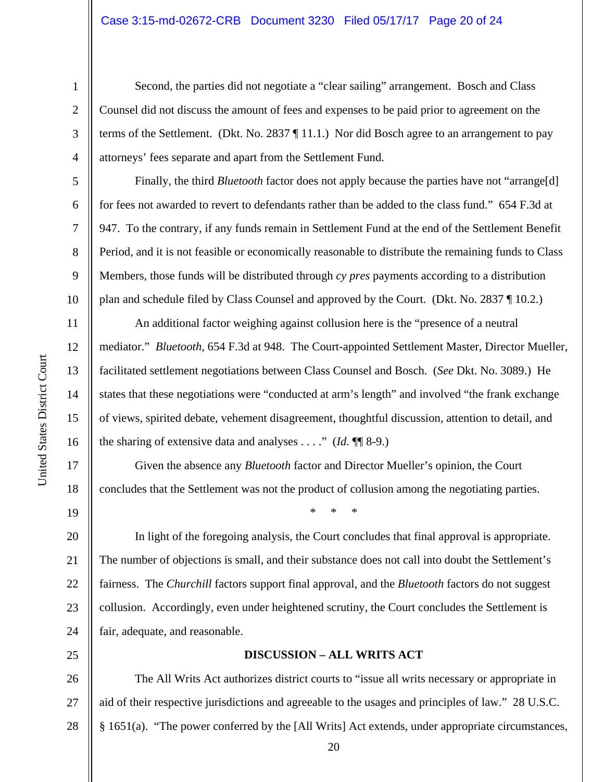Second, the parties did not negotiate a "clear sailing" arrangement. Bosch and Class Counsel did not discuss the amount of fees and expenses to be paid prior to agreement on the terms of the Settlement. (Dkt. No. 2837 ¶ 11.1.) Nor did Bosch agree to an arrangement to pay attorneys' fees separate and apart from the Settlement Fund.

Finally, the third *Bluetooth* factor does not apply because the parties have not "arrange[d] for fees not awarded to revert to defendants rather than be added to the class fund." 654 F.3d at 947. To the contrary, if any funds remain in Settlement Fund at the end of the Settlement Benefit Period, and it is not feasible or economically reasonable to distribute the remaining funds to Class Members, those funds will be distributed through *cy pres* payments according to a distribution plan and schedule filed by Class Counsel and approved by the Court. (Dkt. No. 2837 ¶ 10.2.)

An additional factor weighing against collusion here is the "presence of a neutral mediator." *Bluetooth*, 654 F.3d at 948. The Court-appointed Settlement Master, Director Mueller, facilitated settlement negotiations between Class Counsel and Bosch. (*See* Dkt. No. 3089.) He states that these negotiations were "conducted at arm's length" and involved "the frank exchange of views, spirited debate, vehement disagreement, thoughtful discussion, attention to detail, and the sharing of extensive data and analyses . . . ." (*Id.* ¶¶ 8-9.)

Given the absence any *Bluetooth* factor and Director Mueller's opinion, the Court concludes that the Settlement was not the product of collusion among the negotiating parties.

\* \* \*

20 21 22 23 24 In light of the foregoing analysis, the Court concludes that final approval is appropriate. The number of objections is small, and their substance does not call into doubt the Settlement's fairness. The *Churchill* factors support final approval, and the *Bluetooth* factors do not suggest collusion. Accordingly, even under heightened scrutiny, the Court concludes the Settlement is fair, adequate, and reasonable.

#### **DISCUSSION – ALL WRITS ACT**

26 27 28 The All Writs Act authorizes district courts to "issue all writs necessary or appropriate in aid of their respective jurisdictions and agreeable to the usages and principles of law." 28 U.S.C. § 1651(a). "The power conferred by the [All Writs] Act extends, under appropriate circumstances,

1

2

3

4

5

6

7

8

9

10

11

12

13

14

15

16

17

18

19

25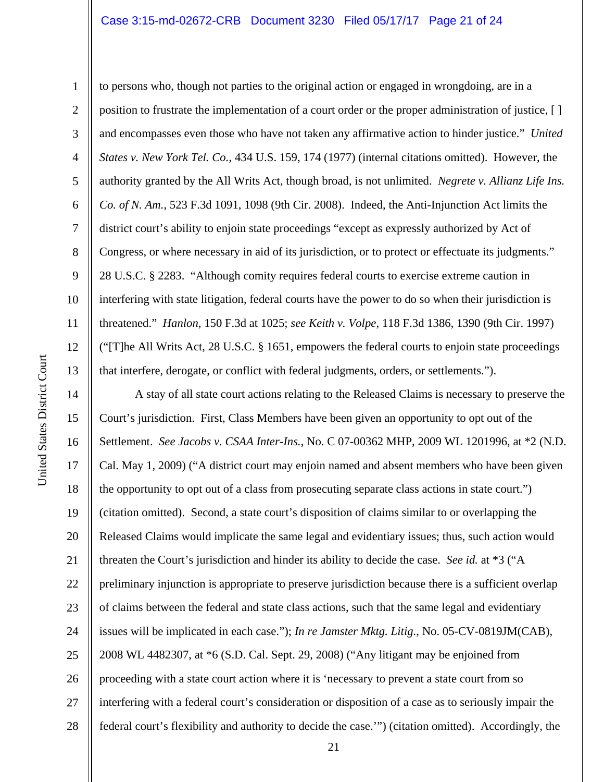## Case 3:15-md-02672-CRB Document 3230 Filed 05/17/17 Page 21 of 24

United States District Court

United States District Court

1 2 3 4 5 6 7 8 9 10 11 12 13 to persons who, though not parties to the original action or engaged in wrongdoing, are in a position to frustrate the implementation of a court order or the proper administration of justice, [ ] and encompasses even those who have not taken any affirmative action to hinder justice." *United States v. New York Tel. Co.*, 434 U.S. 159, 174 (1977) (internal citations omitted). However, the authority granted by the All Writs Act, though broad, is not unlimited. *Negrete v. Allianz Life Ins. Co. of N. Am.*, 523 F.3d 1091, 1098 (9th Cir. 2008). Indeed, the Anti-Injunction Act limits the district court's ability to enjoin state proceedings "except as expressly authorized by Act of Congress, or where necessary in aid of its jurisdiction, or to protect or effectuate its judgments." 28 U.S.C. § 2283. "Although comity requires federal courts to exercise extreme caution in interfering with state litigation, federal courts have the power to do so when their jurisdiction is threatened." *Hanlon*, 150 F.3d at 1025; *see Keith v. Volpe*, 118 F.3d 1386, 1390 (9th Cir. 1997) ("[T]he All Writs Act, 28 U.S.C. § 1651, empowers the federal courts to enjoin state proceedings that interfere, derogate, or conflict with federal judgments, orders, or settlements.").

14 15 16 17 18 19 20 21 22 23 24 25 26 27 28 A stay of all state court actions relating to the Released Claims is necessary to preserve the Court's jurisdiction. First, Class Members have been given an opportunity to opt out of the Settlement. *See Jacobs v. CSAA Inter-Ins.*, No. C 07-00362 MHP, 2009 WL 1201996, at \*2 (N.D. Cal. May 1, 2009) ("A district court may enjoin named and absent members who have been given the opportunity to opt out of a class from prosecuting separate class actions in state court.") (citation omitted). Second, a state court's disposition of claims similar to or overlapping the Released Claims would implicate the same legal and evidentiary issues; thus, such action would threaten the Court's jurisdiction and hinder its ability to decide the case. *See id.* at \*3 ("A preliminary injunction is appropriate to preserve jurisdiction because there is a sufficient overlap of claims between the federal and state class actions, such that the same legal and evidentiary issues will be implicated in each case."); *In re Jamster Mktg. Litig.*, No. 05-CV-0819JM(CAB), 2008 WL 4482307, at \*6 (S.D. Cal. Sept. 29, 2008) ("Any litigant may be enjoined from proceeding with a state court action where it is 'necessary to prevent a state court from so interfering with a federal court's consideration or disposition of a case as to seriously impair the federal court's flexibility and authority to decide the case.'") (citation omitted). Accordingly, the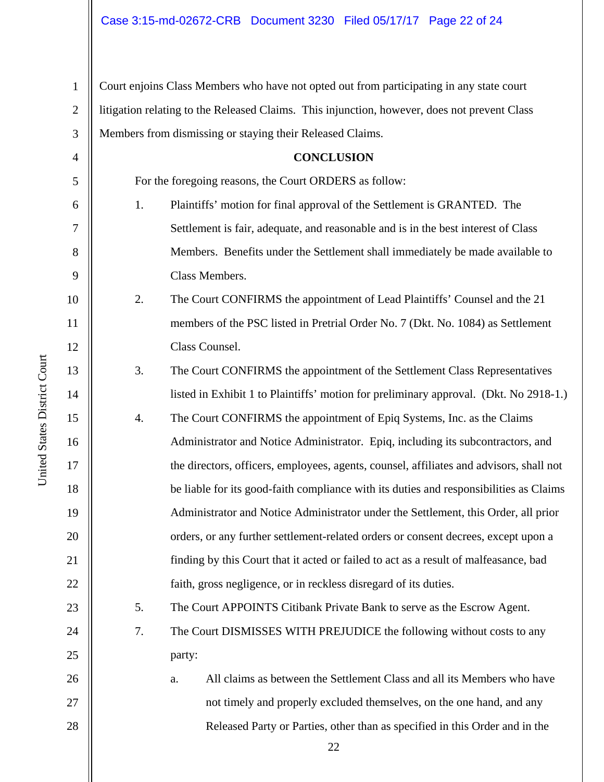1 2 3 Court enjoins Class Members who have not opted out from participating in any state court litigation relating to the Released Claims. This injunction, however, does not prevent Class Members from dismissing or staying their Released Claims.

## **CONCLUSION**  For the foregoing reasons, the Court ORDERS as follow: 1. Plaintiffs' motion for final approval of the Settlement is GRANTED. The Settlement is fair, adequate, and reasonable and is in the best interest of Class Members. Benefits under the Settlement shall immediately be made available to Class Members.

2. The Court CONFIRMS the appointment of Lead Plaintiffs' Counsel and the 21 members of the PSC listed in Pretrial Order No. 7 (Dkt. No. 1084) as Settlement Class Counsel.

3. The Court CONFIRMS the appointment of the Settlement Class Representatives listed in Exhibit 1 to Plaintiffs' motion for preliminary approval. (Dkt. No 2918-1.)

4. The Court CONFIRMS the appointment of Epiq Systems, Inc. as the Claims Administrator and Notice Administrator. Epiq, including its subcontractors, and the directors, officers, employees, agents, counsel, affiliates and advisors, shall not be liable for its good-faith compliance with its duties and responsibilities as Claims Administrator and Notice Administrator under the Settlement, this Order, all prior orders, or any further settlement-related orders or consent decrees, except upon a finding by this Court that it acted or failed to act as a result of malfeasance, bad faith, gross negligence, or in reckless disregard of its duties.

5. The Court APPOINTS Citibank Private Bank to serve as the Escrow Agent.

7. The Court DISMISSES WITH PREJUDICE the following without costs to any party:

a. All claims as between the Settlement Class and all its Members who have not timely and properly excluded themselves, on the one hand, and any Released Party or Parties, other than as specified in this Order and in the

22

4

5

6

7

8

9

10

11

12

13

14

15

16

17

18

19

20

21

22

23

24

25

26

27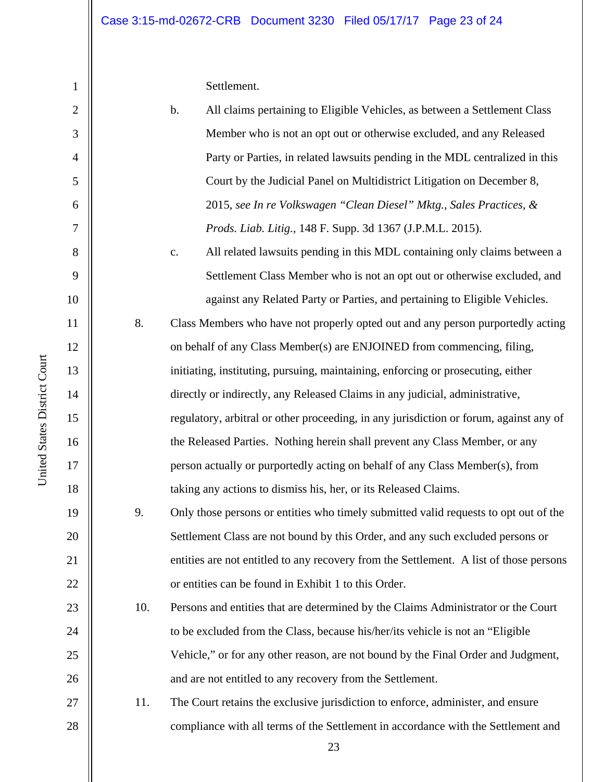Settlement.

| $\mathbf{2}$     |     | $\mathbf b$ .<br>All claims pertaining to Eligible Vehicles, as between a Settlement Class |
|------------------|-----|--------------------------------------------------------------------------------------------|
| 3                |     | Member who is not an opt out or otherwise excluded, and any Released                       |
| $\overline{4}$   |     | Party or Parties, in related lawsuits pending in the MDL centralized in this               |
| 5                |     | Court by the Judicial Panel on Multidistrict Litigation on December 8,                     |
| 6                |     | 2015, see In re Volkswagen "Clean Diesel" Mktg., Sales Practices, &                        |
| $\boldsymbol{7}$ |     | Prods. Liab. Litig., 148 F. Supp. 3d 1367 (J.P.M.L. 2015).                                 |
| 8                |     | All related lawsuits pending in this MDL containing only claims between a<br>c.            |
| 9                |     | Settlement Class Member who is not an opt out or otherwise excluded, and                   |
| 10               |     | against any Related Party or Parties, and pertaining to Eligible Vehicles.                 |
| 11               | 8.  | Class Members who have not properly opted out and any person purportedly acting            |
| 12               |     | on behalf of any Class Member(s) are ENJOINED from commencing, filing,                     |
| 13               |     | initiating, instituting, pursuing, maintaining, enforcing or prosecuting, either           |
| 14               |     | directly or indirectly, any Released Claims in any judicial, administrative,               |
| 15               |     | regulatory, arbitral or other proceeding, in any jurisdiction or forum, against any of     |
| 16               |     | the Released Parties. Nothing herein shall prevent any Class Member, or any                |
| 17               |     | person actually or purportedly acting on behalf of any Class Member(s), from               |
| 18               |     | taking any actions to dismiss his, her, or its Released Claims.                            |
| 19               | 9.  | Only those persons or entities who timely submitted valid requests to opt out of the       |
| 20               |     | Settlement Class are not bound by this Order, and any such excluded persons or             |
| 21               |     | entities are not entitled to any recovery from the Settlement. A list of those persons     |
| 22               |     | or entities can be found in Exhibit 1 to this Order.                                       |
| 23               | 10. | Persons and entities that are determined by the Claims Administrator or the Court          |
| 24               |     | to be excluded from the Class, because his/her/its vehicle is not an "Eligible"            |
| 25               |     | Vehicle," or for any other reason, are not bound by the Final Order and Judgment,          |
| 26               |     | and are not entitled to any recovery from the Settlement.                                  |
| 27               | 11. | The Court retains the exclusive jurisdiction to enforce, administer, and ensure            |
| 28               |     | compliance with all terms of the Settlement in accordance with the Settlement and          |
|                  |     | 23                                                                                         |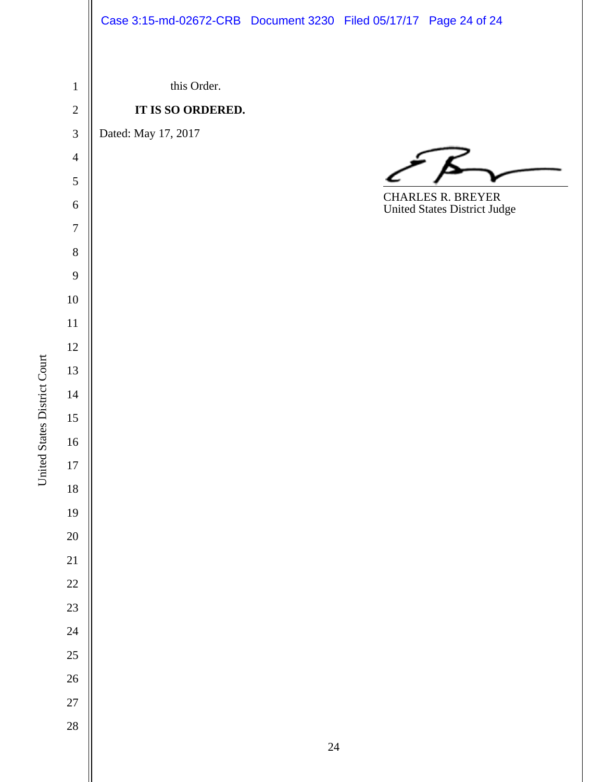## Case 3:15-md-02672-CRB Document 3230 Filed 05/17/17 Page 24 of 24

 this Order. **IT IS SO ORDERED.** Dated: May 17, 2017  $\overline{a}$ CHARLES R. BREYER United States District Judge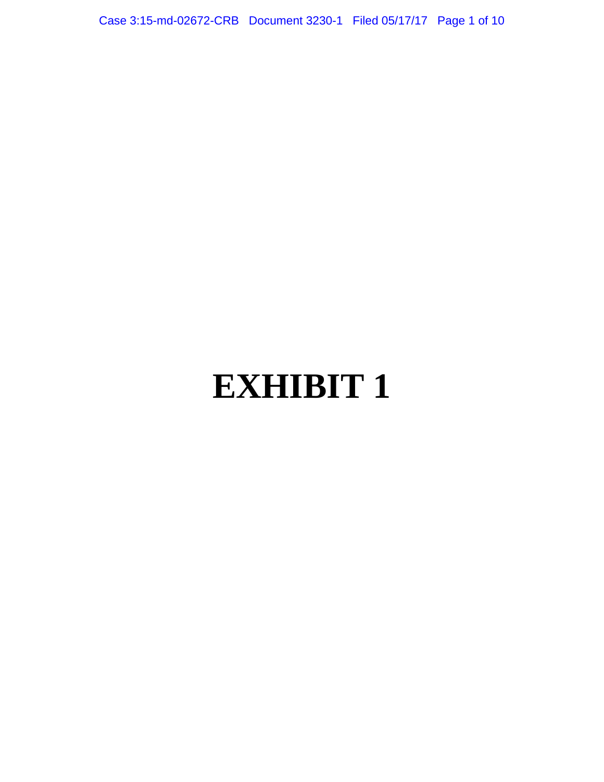Case 3:15-md-02672-CRB Document 3230-1 Filed 05/17/17 Page 1 of 10

# **EXHIBIT 1**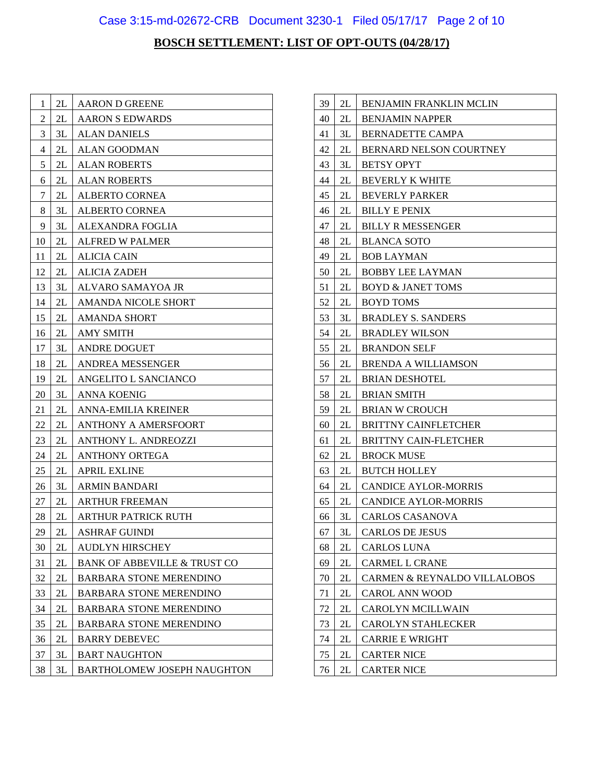## Case 3:15-md-02672-CRB Document 3230-1 Filed 05/17/17 Page 2 of 10

| 1      | 2L            | <b>AARON D GREENE</b>                   |
|--------|---------------|-----------------------------------------|
| 2      | 2L            | <b>AARON S EDWARDS</b>                  |
| 3      | 3L<br>2L      | <b>ALAN DANIELS</b>                     |
| 4<br>5 | 2L            | <b>ALAN GOODMAN</b>                     |
|        | 2L            | <b>ALAN ROBERTS</b>                     |
| 6      |               | <b>ALAN ROBERTS</b>                     |
| 7      | 2L<br>3L      | <b>ALBERTO CORNEA</b>                   |
| 8      |               | <b>ALBERTO CORNEA</b>                   |
| 9      | 3L            | ALEXANDRA FOGLIA                        |
| 10     | 2L            | <b>ALFRED W PALMER</b>                  |
| 11     | 2L            | <b>ALICIA CAIN</b>                      |
| 12     | 2L            | ALICIA ZADEH                            |
| 13     | 3L            | ALVARO SAMAYOA JR                       |
| 14     | 2L            | <b>AMANDA NICOLE SHORT</b>              |
| 15     | 2L            | <b>AMANDA SHORT</b>                     |
| 16     | 2L            | <b>AMY SMITH</b>                        |
| 17     | 3L            | <b>ANDRE DOGUET</b>                     |
| 18     | 2L            | <b>ANDREA MESSENGER</b>                 |
| 19     | 2L            | ANGELITO L SANCIANCO                    |
| 20     | 3L            | ANNA KOENIG                             |
| 21     | 2L            | <b>ANNA-EMILIA KREINER</b>              |
| 22     | 2L            | <b>ANTHONY A AMERSFOORT</b>             |
| 23     | 2L            | <b>ANTHONY L. ANDREOZZI</b>             |
| 24     | 2L            | <b>ANTHONY ORTEGA</b>                   |
| 25     | 2L            | <b>APRIL EXLINE</b>                     |
| 26     | 3L            | <b>ARMIN BANDARI</b>                    |
| 27     | 2L            | <b>ARTHUR FREEMAN</b>                   |
| 28     | 2L            | <b>ARTHUR PATRICK RUTH</b>              |
| 29     | 2L            | <b>ASHRAF GUINDI</b>                    |
| 30     | 2L            | <b>AUDLYN HIRSCHEY</b>                  |
| 31     | $2\mathsf{L}$ | <b>BANK OF ABBEVILLE &amp; TRUST CO</b> |
| 32     | $2\mathsf{L}$ | <b>BARBARA STONE MERENDINO</b>          |
| 33     | 2L            | <b>BARBARA STONE MERENDINO</b>          |
| 34     | 2L            | <b>BARBARA STONE MERENDINO</b>          |
| 35     | 2L            | <b>BARBARA STONE MERENDINO</b>          |
| 36     | 2L            | <b>BARRY DEBEVEC</b>                    |
| 37     | 3L            | <b>BART NAUGHTON</b>                    |
| 38     | 3L            | <b>BARTHOLOMEW JOSEPH NAUGHTON</b>      |

| 39 | 2L | <b>BENJAMIN FRANKLIN MCLIN</b> |
|----|----|--------------------------------|
| 40 | 2L | <b>BENJAMIN NAPPER</b>         |
| 41 | 3L | <b>BERNADETTE CAMPA</b>        |
| 42 | 2L | BERNARD NELSON COURTNEY        |
| 43 | 3L | <b>BETSY OPYT</b>              |
| 44 | 2L | <b>BEVERLY K WHITE</b>         |
| 45 | 2L | <b>BEVERLY PARKER</b>          |
| 46 | 2L | <b>BILLY E PENIX</b>           |
| 47 | 2L | <b>BILLY R MESSENGER</b>       |
| 48 | 2L | <b>BLANCA SOTO</b>             |
| 49 | 2L | <b>BOB LAYMAN</b>              |
| 50 | 2L | <b>BOBBY LEE LAYMAN</b>        |
| 51 | 2L | <b>BOYD &amp; JANET TOMS</b>   |
| 52 | 2L | <b>BOYD TOMS</b>               |
| 53 | 3L | <b>BRADLEY S. SANDERS</b>      |
| 54 | 2L | <b>BRADLEY WILSON</b>          |
| 55 | 2L | <b>BRANDON SELF</b>            |
| 56 | 2L | <b>BRENDA A WILLIAMSON</b>     |
| 57 | 2L | <b>BRIAN DESHOTEL</b>          |
| 58 | 2L | <b>BRIAN SMITH</b>             |
| 59 | 2L | <b>BRIAN W CROUCH</b>          |
| 60 | 2L | <b>BRITTNY CAINFLETCHER</b>    |
| 61 | 2L | <b>BRITTNY CAIN-FLETCHER</b>   |
| 62 | 2L | <b>BROCK MUSE</b>              |
| 63 | 2L | <b>BUTCH HOLLEY</b>            |
| 64 | 2L | <b>CANDICE AYLOR-MORRIS</b>    |
| 65 | 2L | <b>CANDICE AYLOR-MORRIS</b>    |
| 66 | 3L | <b>CARLOS CASANOVA</b>         |
| 67 | 3L | <b>CARLOS DE JESUS</b>         |
| 68 | 2L | CARLOS LUNA                    |
| 69 | 2L | <b>CARMEL L CRANE</b>          |
| 70 | 2L | CARMEN & REYNALDO VILLALOBOS   |
| 71 | 2L | <b>CAROL ANN WOOD</b>          |
| 72 | 2L | CAROLYN MCILLWAIN              |
| 73 | 2L | <b>CAROLYN STAHLECKER</b>      |
| 74 | 2L | <b>CARRIE E WRIGHT</b>         |
| 75 | 2L | <b>CARTER NICE</b>             |
| 76 | 2L | <b>CARTER NICE</b>             |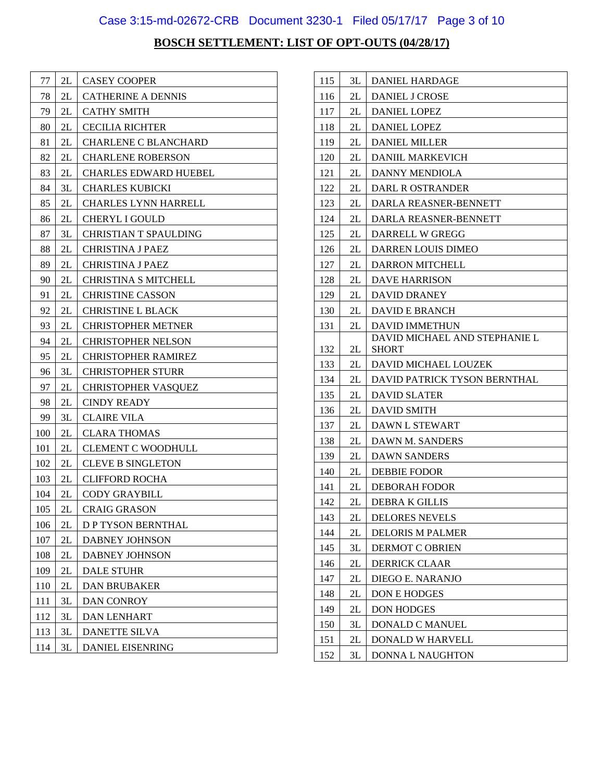## Case 3:15-md-02672-CRB Document 3230-1 Filed 05/17/17 Page 3 of 10

| 77  | 2L            | <b>CASEY COOPER</b>          |
|-----|---------------|------------------------------|
| 78  | 2L            | <b>CATHERINE A DENNIS</b>    |
| 79  | 2L            | <b>CATHY SMITH</b>           |
| 80  | 2L            | <b>CECILIA RICHTER</b>       |
| 81  | 2L            | <b>CHARLENE C BLANCHARD</b>  |
| 82  | 2L            | <b>CHARLENE ROBERSON</b>     |
| 83  | 2L            | <b>CHARLES EDWARD HUEBEL</b> |
| 84  | 3L            | <b>CHARLES KUBICKI</b>       |
| 85  | 2L            | <b>CHARLES LYNN HARRELL</b>  |
| 86  | 2L            | CHERYL I GOULD               |
| 87  | 3L            | <b>CHRISTIAN T SPAULDING</b> |
| 88  | 2L            | <b>CHRISTINA J PAEZ</b>      |
| 89  | 2L            | <b>CHRISTINA J PAEZ</b>      |
| 90  | 2L            | CHRISTINA S MITCHELL         |
| 91  | 2L            | <b>CHRISTINE CASSON</b>      |
| 92  | 2L            | <b>CHRISTINE L BLACK</b>     |
| 93  | 2L            | <b>CHRISTOPHER METNER</b>    |
| 94  | 2L            | <b>CHRISTOPHER NELSON</b>    |
| 95  | 2L            | <b>CHRISTOPHER RAMIREZ</b>   |
| 96  | 3L            | <b>CHRISTOPHER STURR</b>     |
| 97  | 2L            | <b>CHRISTOPHER VASQUEZ</b>   |
| 98  | 2L            | <b>CINDY READY</b>           |
| 99  | 3L            | <b>CLAIRE VILA</b>           |
| 100 | 2L            | <b>CLARA THOMAS</b>          |
| 101 | 2L            | <b>CLEMENT C WOODHULL</b>    |
| 102 | 2L            | <b>CLEVE B SINGLETON</b>     |
| 103 | 2L            | <b>CLIFFORD ROCHA</b>        |
| 104 | 2L            | <b>CODY GRAYBILL</b>         |
| 105 | 2L            | <b>CRAIG GRASON</b>          |
| 106 | 2L            | <b>D P TYSON BERNTHAL</b>    |
| 107 | 2L            | <b>DABNEY JOHNSON</b>        |
| 108 | 2L            | <b>DABNEY JOHNSON</b>        |
| 109 | 2L            | <b>DALE STUHR</b>            |
| 110 | $2\mathsf{L}$ | <b>DAN BRUBAKER</b>          |
| 111 | 3L            | <b>DAN CONROY</b>            |
| 112 | 3L            | <b>DAN LENHART</b>           |
| 113 | 3L            | <b>DANETTE SILVA</b>         |
| 114 | 3L            | <b>DANIEL EISENRING</b>      |

| 115 | 3L | <b>DANIEL HARDAGE</b>         |
|-----|----|-------------------------------|
| 116 | 2L | <b>DANIEL J CROSE</b>         |
| 117 | 2L | <b>DANIEL LOPEZ</b>           |
| 118 | 2L | <b>DANIEL LOPEZ</b>           |
| 119 | 2L | <b>DANIEL MILLER</b>          |
| 120 | 2L | <b>DANIIL MARKEVICH</b>       |
| 121 | 2L | <b>DANNY MENDIOLA</b>         |
| 122 | 2L | DARL R OSTRANDER              |
| 123 | 2L | DARLA REASNER-BENNETT         |
| 124 | 2L | DARLA REASNER-BENNETT         |
| 125 | 2L | DARRELL W GREGG               |
| 126 | 2L | DARREN LOUIS DIMEO            |
| 127 | 2L | <b>DARRON MITCHELL</b>        |
| 128 | 2L | <b>DAVE HARRISON</b>          |
| 129 | 2L | DAVID DRANEY                  |
| 130 | 2L | <b>DAVID E BRANCH</b>         |
| 131 | 2L | <b>DAVID IMMETHUN</b>         |
|     |    | DAVID MICHAEL AND STEPHANIE L |
| 132 | 2L | <b>SHORT</b>                  |
| 133 | 2L | DAVID MICHAEL LOUZEK          |
| 134 | 2L | DAVID PATRICK TYSON BERNTHAL  |
| 135 | 2L | <b>DAVID SLATER</b>           |
| 136 | 2L | <b>DAVID SMITH</b>            |
| 137 | 2L | <b>DAWN L STEWART</b>         |
| 138 | 2L | DAWN M. SANDERS               |
| 139 | 2L | <b>DAWN SANDERS</b>           |
| 140 | 2L | <b>DEBBIE FODOR</b>           |
| 141 | 2L | <b>DEBORAH FODOR</b>          |
| 142 | 2L | <b>DEBRA K GILLIS</b>         |
| 143 | 2L | <b>DELORES NEVELS</b>         |
| 144 | 2L | <b>DELORIS M PALMER</b>       |
| 145 | 3L | DERMOT C OBRIEN               |
| 146 | 2L | <b>DERRICK CLAAR</b>          |
| 147 | 2L | DIEGO E. NARANJO              |
| 148 | 2L | DON E HODGES                  |
| 149 | 2L | <b>DON HODGES</b>             |
| 150 | 3L | DONALD C MANUEL               |
| 151 | 2L | DONALD W HARVELL              |
| 152 | 3L | <b>DONNA L NAUGHTON</b>       |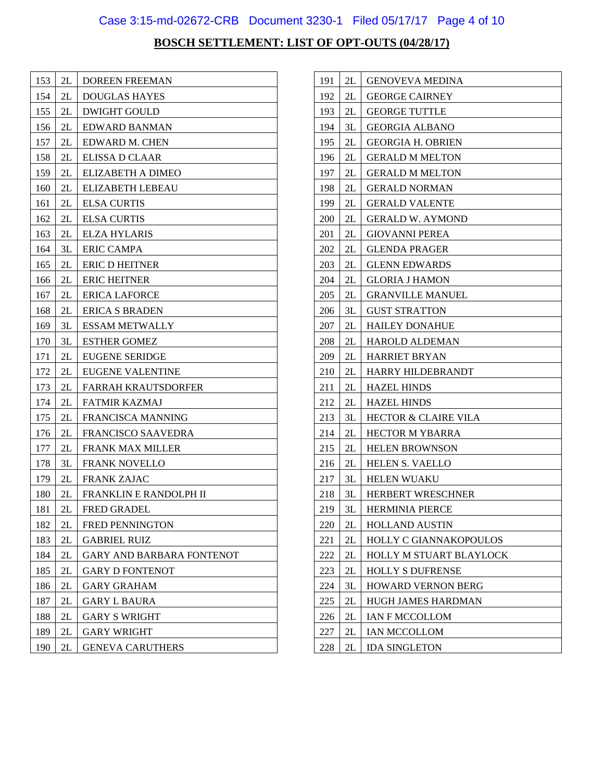## Case 3:15-md-02672-CRB Document 3230-1 Filed 05/17/17 Page 4 of 10

| 153 | 2L | <b>DOREEN FREEMAN</b>            |
|-----|----|----------------------------------|
| 154 | 2L | <b>DOUGLAS HAYES</b>             |
| 155 | 2L | <b>DWIGHT GOULD</b>              |
| 156 | 2L | EDWARD BANMAN                    |
| 157 | 2L | EDWARD M. CHEN                   |
| 158 | 2L | ELISSA D CLAAR                   |
| 159 | 2L | ELIZABETH A DIMEO                |
| 160 | 2L | ELIZABETH LEBEAU                 |
| 161 | 2L | <b>ELSA CURTIS</b>               |
| 162 | 2L | <b>ELSA CURTIS</b>               |
| 163 | 2L | <b>ELZA HYLARIS</b>              |
| 164 | 3L | <b>ERIC CAMPA</b>                |
| 165 | 2L | <b>ERIC D HEITNER</b>            |
| 166 | 2L | <b>ERIC HEITNER</b>              |
| 167 | 2L | <b>ERICA LAFORCE</b>             |
| 168 | 2L | <b>ERICA S BRADEN</b>            |
| 169 | 3L | <b>ESSAM METWALLY</b>            |
| 170 | 3L | <b>ESTHER GOMEZ</b>              |
| 171 | 2L | <b>EUGENE SERIDGE</b>            |
| 172 | 2L | <b>EUGENE VALENTINE</b>          |
| 173 | 2L | <b>FARRAH KRAUTSDORFER</b>       |
| 174 | 2L | <b>FATMIR KAZMAJ</b>             |
| 175 | 2L | <b>FRANCISCA MANNING</b>         |
| 176 | 2L | <b>FRANCISCO SAAVEDRA</b>        |
| 177 | 2L | <b>FRANK MAX MILLER</b>          |
| 178 | 3L | <b>FRANK NOVELLO</b>             |
| 179 | 2L | <b>FRANK ZAJAC</b>               |
| 180 | 2L | FRANKLIN E RANDOLPH II           |
| 181 | 2L | <b>FRED GRADEL</b>               |
| 182 | 2L | <b>FRED PENNINGTON</b>           |
| 183 | 2L | <b>GABRIEL RUIZ</b>              |
| 184 | 2L | <b>GARY AND BARBARA FONTENOT</b> |
| 185 | 2L | <b>GARY D FONTENOT</b>           |
| 186 | 2L | <b>GARY GRAHAM</b>               |
| 187 | 2L | <b>GARY L BAURA</b>              |
| 188 | 2L | <b>GARY S WRIGHT</b>             |
| 189 | 2L | <b>GARY WRIGHT</b>               |
| 190 | 2L | <b>GENEVA CARUTHERS</b>          |

| 191 | 2L | <b>GENOVEVA MEDINA</b>          |
|-----|----|---------------------------------|
| 192 | 2L | <b>GEORGE CAIRNEY</b>           |
| 193 | 2L | <b>GEORGE TUTTLE</b>            |
| 194 | 3L | <b>GEORGIA ALBANO</b>           |
| 195 | 2L | <b>GEORGIA H. OBRIEN</b>        |
| 196 | 2L | <b>GERALD M MELTON</b>          |
| 197 | 2L | <b>GERALD M MELTON</b>          |
| 198 | 2L | <b>GERALD NORMAN</b>            |
| 199 | 2L | <b>GERALD VALENTE</b>           |
| 200 | 2L | <b>GERALD W. AYMOND</b>         |
| 201 | 2L | <b>GIOVANNI PEREA</b>           |
| 202 | 2L | <b>GLENDA PRAGER</b>            |
| 203 | 2L | <b>GLENN EDWARDS</b>            |
| 204 | 2L | <b>GLORIA J HAMON</b>           |
| 205 | 2L | <b>GRANVILLE MANUEL</b>         |
| 206 | 3L | <b>GUST STRATTON</b>            |
| 207 | 2L | <b>HAILEY DONAHUE</b>           |
| 208 | 2L | <b>HAROLD ALDEMAN</b>           |
| 209 | 2L | <b>HARRIET BRYAN</b>            |
| 210 | 2L | HARRY HILDEBRANDT               |
| 211 | 2L | <b>HAZEL HINDS</b>              |
| 212 | 2L | <b>HAZEL HINDS</b>              |
| 213 | 3L | <b>HECTOR &amp; CLAIRE VILA</b> |
| 214 | 2L | <b>HECTOR M YBARRA</b>          |
| 215 | 2L | <b>HELEN BROWNSON</b>           |
| 216 | 2L | HELEN S. VAELLO                 |
| 217 | 3L | <b>HELEN WUAKU</b>              |
| 218 | 3L | HERBERT WRESCHNER               |
| 219 | 3L | HERMINIA PIERCE                 |
| 220 | 2L | <b>HOLLAND AUSTIN</b>           |
| 221 | 2L | HOLLY C GIANNAKOPOULOS          |
| 222 | 2L | HOLLY M STUART BLAYLOCK         |
| 223 | 2L | <b>HOLLY S DUFRENSE</b>         |
| 224 | 3L | <b>HOWARD VERNON BERG</b>       |
| 225 | 2L | HUGH JAMES HARDMAN              |
| 226 | 2L | IAN F MCCOLLOM                  |
| 227 | 2L | <b>IAN MCCOLLOM</b>             |
| 228 | 2L | <b>IDA SINGLETON</b>            |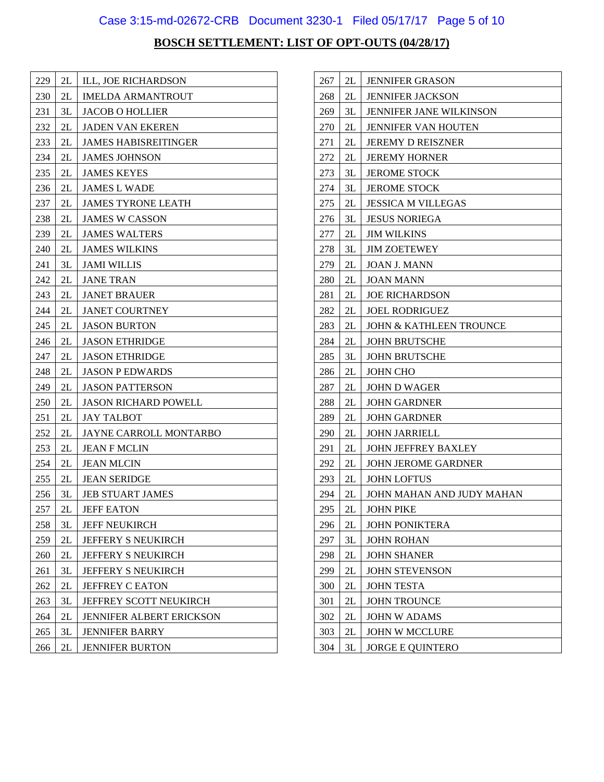## Case 3:15-md-02672-CRB Document 3230-1 Filed 05/17/17 Page 5 of 10

| 229 | 2L | ILL, JOE RICHARDSON           |
|-----|----|-------------------------------|
| 230 | 2L | <b>IMELDA ARMANTROUT</b>      |
| 231 | 3L | <b>JACOB O HOLLIER</b>        |
| 232 | 2L | <b>JADEN VAN EKEREN</b>       |
| 233 | 2L | <b>JAMES HABISREITINGER</b>   |
| 234 | 2L | <b>JAMES JOHNSON</b>          |
| 235 | 2L | <b>JAMES KEYES</b>            |
| 236 | 2L | <b>JAMES L WADE</b>           |
| 237 | 2L | <b>JAMES TYRONE LEATH</b>     |
| 238 | 2L | <b>JAMES W CASSON</b>         |
| 239 | 2L | <b>JAMES WALTERS</b>          |
| 240 | 2L | <b>JAMES WILKINS</b>          |
| 241 | 3L | <b>JAMI WILLIS</b>            |
| 242 | 2L | <b>JANE TRAN</b>              |
| 243 | 2L | <b>JANET BRAUER</b>           |
| 244 | 2L | <b>JANET COURTNEY</b>         |
| 245 | 2L | <b>JASON BURTON</b>           |
| 246 | 2L | <b>JASON ETHRIDGE</b>         |
| 247 | 2L | <b>JASON ETHRIDGE</b>         |
| 248 | 2L | <b>JASON P EDWARDS</b>        |
| 249 | 2L | <b>JASON PATTERSON</b>        |
| 250 | 2L | <b>JASON RICHARD POWELL</b>   |
| 251 | 2L | <b>JAY TALBOT</b>             |
| 252 | 2L | JAYNE CARROLL MONTARBO        |
| 253 | 2L | <b>JEAN F MCLIN</b>           |
| 254 | 2L | <b>JEAN MLCIN</b>             |
| 255 | 2L | <b>JEAN SERIDGE</b>           |
| 256 | 3L | <b>JEB STUART JAMES</b>       |
| 257 | 2L | <b>JEFF EATON</b>             |
| 258 | 3L | <b>JEFF NEUKIRCH</b>          |
| 259 | 2L | <b>JEFFERY S NEUKIRCH</b>     |
| 260 | 2L | <b>JEFFERY S NEUKIRCH</b>     |
| 261 | 3L | <b>JEFFERY S NEUKIRCH</b>     |
| 262 | 2L | <b>JEFFREY C EATON</b>        |
| 263 | 3L | <b>JEFFREY SCOTT NEUKIRCH</b> |
| 264 | 2L | JENNIFER ALBERT ERICKSON      |
| 265 | 3L | <b>JENNIFER BARRY</b>         |
| 266 | 2L | <b>JENNIFER BURTON</b>        |

| 267 | 2L | <b>JENNIFER GRASON</b>             |
|-----|----|------------------------------------|
| 268 | 2L | <b>JENNIFER JACKSON</b>            |
| 269 | 3L | <b>JENNIFER JANE WILKINSON</b>     |
| 270 | 2L | <b>JENNIFER VAN HOUTEN</b>         |
| 271 | 2L | <b>JEREMY D REISZNER</b>           |
| 272 | 2L | <b>JEREMY HORNER</b>               |
| 273 | 3L | <b>JEROME STOCK</b>                |
| 274 | 3L | <b>JEROME STOCK</b>                |
| 275 | 2L | <b>JESSICA M VILLEGAS</b>          |
| 276 | 3L | <b>JESUS NORIEGA</b>               |
| 277 | 2L | <b>JIM WILKINS</b>                 |
| 278 | 3L | <b>JIM ZOETEWEY</b>                |
| 279 | 2L | <b>JOAN J. MANN</b>                |
| 280 | 2L | <b>JOAN MANN</b>                   |
| 281 | 2L | <b>JOE RICHARDSON</b>              |
| 282 | 2L | <b>JOEL RODRIGUEZ</b>              |
| 283 | 2L | <b>JOHN &amp; KATHLEEN TROUNCE</b> |
| 284 | 2L | <b>JOHN BRUTSCHE</b>               |
| 285 | 3L | <b>JOHN BRUTSCHE</b>               |
| 286 | 2L | <b>JOHN CHO</b>                    |
| 287 | 2L | <b>JOHN D WAGER</b>                |
| 288 | 2L | <b>JOHN GARDNER</b>                |
| 289 | 2L | <b>JOHN GARDNER</b>                |
| 290 | 2L | <b>JOHN JARRIELL</b>               |
| 291 | 2L | <b>JOHN JEFFREY BAXLEY</b>         |
| 292 | 2L | <b>JOHN JEROME GARDNER</b>         |
| 293 | 2L | <b>JOHN LOFTUS</b>                 |
| 294 | 2L | JOHN MAHAN AND JUDY MAHAN          |
| 295 | 2L | <b>JOHN PIKE</b>                   |
| 296 | 2L | <b>JOHN PONIKTERA</b>              |
| 297 | 3L | <b>JOHN ROHAN</b>                  |
| 298 | 2L | <b>JOHN SHANER</b>                 |
| 299 | 2L | <b>JOHN STEVENSON</b>              |
| 300 | 2L | <b>JOHN TESTA</b>                  |
| 301 | 2L | <b>JOHN TROUNCE</b>                |
| 302 | 2L | <b>JOHN W ADAMS</b>                |
| 303 | 2L | <b>JOHN W MCCLURE</b>              |
| 304 | 3L | <b>JORGE E QUINTERO</b>            |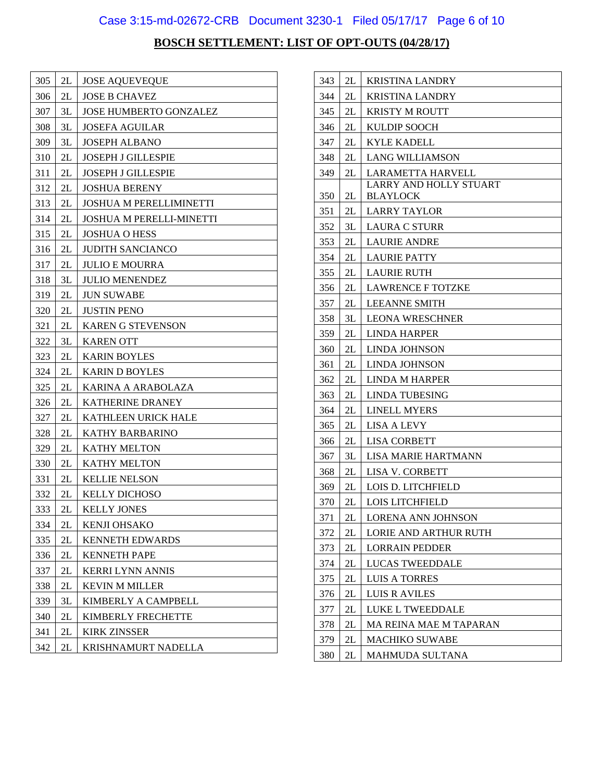## Case 3:15-md-02672-CRB Document 3230-1 Filed 05/17/17 Page 6 of 10

| 305 | 2L | <b>JOSE AQUEVEQUE</b>           |
|-----|----|---------------------------------|
| 306 | 2L | <b>JOSE B CHAVEZ</b>            |
| 307 | 3L | JOSE HUMBERTO GONZALEZ          |
| 308 | 3L | <b>JOSEFA AGUILAR</b>           |
| 309 | 3L | <b>JOSEPH ALBANO</b>            |
| 310 | 2L | <b>JOSEPH J GILLESPIE</b>       |
| 311 | 2L | <b>JOSEPH J GILLESPIE</b>       |
| 312 | 2L | <b>JOSHUA BERENY</b>            |
| 313 | 2L | <b>JOSHUA M PERELLIMINETTI</b>  |
| 314 | 2L | <b>JOSHUA M PERELLI-MINETTI</b> |
| 315 | 2L | <b>JOSHUA O HESS</b>            |
| 316 | 2L | <b>JUDITH SANCIANCO</b>         |
| 317 | 2L | <b>JULIO E MOURRA</b>           |
| 318 | 3L | <b>JULIO MENENDEZ</b>           |
| 319 | 2L | <b>JUN SUWABE</b>               |
| 320 | 2L | <b>JUSTIN PENO</b>              |
| 321 | 2L | <b>KAREN G STEVENSON</b>        |
| 322 | 3L | <b>KAREN OTT</b>                |
| 323 | 2L | <b>KARIN BOYLES</b>             |
| 324 | 2L | <b>KARIN D BOYLES</b>           |
| 325 | 2L | KARINA A ARABOLAZA              |
| 326 | 2L | <b>KATHERINE DRANEY</b>         |
| 327 | 2L | <b>KATHLEEN URICK HALE</b>      |
| 328 | 2L | <b>KATHY BARBARINO</b>          |
| 329 | 2L | <b>KATHY MELTON</b>             |
| 330 | 2L | <b>KATHY MELTON</b>             |
| 331 | 2L | <b>KELLIE NELSON</b>            |
| 332 | 2L | <b>KELLY DICHOSO</b>            |
| 333 | 2L | <b>KELLY JONES</b>              |
| 334 | 2L | KENJI OHSAKO                    |
| 335 | 2L | <b>KENNETH EDWARDS</b>          |
| 336 | 2L | <b>KENNETH PAPE</b>             |
| 337 | 2L | <b>KERRI LYNN ANNIS</b>         |
| 338 | 2L | <b>KEVIN M MILLER</b>           |
| 339 | 3L | KIMBERLY A CAMPBELL             |
| 340 | 2L | KIMBERLY FRECHETTE              |
| 341 | 2L | <b>KIRK ZINSSER</b>             |
| 342 | 2L | KRISHNAMURT NADELLA             |

| 343        | 2L       | <b>KRISTINA LANDRY</b>                |
|------------|----------|---------------------------------------|
| 344        | 2L       | <b>KRISTINA LANDRY</b>                |
| 345        | 2L       | <b>KRISTY M ROUTT</b>                 |
| 346        | 2L       | <b>KULDIP SOOCH</b>                   |
| 347        | 2L       | KYLE KADELL                           |
| 348        | 2L       | <b>LANG WILLIAMSON</b>                |
| 349        | 2L       | <b>LARAMETTA HARVELL</b>              |
|            |          | LARRY AND HOLLY STUART                |
| 350        | 2L       | <b>BLAYLOCK</b>                       |
| 351        | 2L       | <b>LARRY TAYLOR</b>                   |
| 352        | 3L       | <b>LAURA C STURR</b>                  |
| 353        | 2L       | <b>LAURIE ANDRE</b>                   |
| 354        | 2L<br>2L | <b>LAURIE PATTY</b>                   |
| 355        |          | <b>LAURIE RUTH</b>                    |
| 356        | 2L       | <b>LAWRENCE F TOTZKE</b>              |
| 357        | 2L       | <b>LEEANNE SMITH</b>                  |
| 358        | 3L       | <b>LEONA WRESCHNER</b>                |
| 359        | 2L       | <b>LINDA HARPER</b>                   |
| 360        | 2L       | LINDA JOHNSON                         |
| 361        | 2L       | LINDA JOHNSON                         |
| 362        | 2L<br>2L | <b>LINDA M HARPER</b>                 |
| 363<br>364 | 2L       | LINDA TUBESING<br><b>LINELL MYERS</b> |
| 365        | 2L       | LISA A LEVY                           |
| 366        | 2L       | <b>LISA CORBETT</b>                   |
| 367        | 3L       | LISA MARIE HARTMANN                   |
| 368        | 2L       | <b>LISA V. CORBETT</b>                |
| 369        | 2L       | <b>LOIS D. LITCHFIELD</b>             |
| 370        | 2L       | LOIS LITCHFIELD                       |
| 371        | 2L       | LORENA ANN JOHNSON                    |
| 372        | 2L       | <b>LORIE AND ARTHUR RUTH</b>          |
| 373        | 2L       | <b>LORRAIN PEDDER</b>                 |
| 374        | 2L       | <b>LUCAS TWEEDDALE</b>                |
| 375        | 2L       | <b>LUIS A TORRES</b>                  |
| 376        | 2L       | LUIS R AVILES                         |
| 377        | 2L       | LUKE L TWEEDDALE                      |
| 378        | 2L       | MA REINA MAE M TAPARAN                |
| 379        | 2L       | <b>MACHIKO SUWABE</b>                 |
| 380        | 2L       | MAHMUDA SULTANA                       |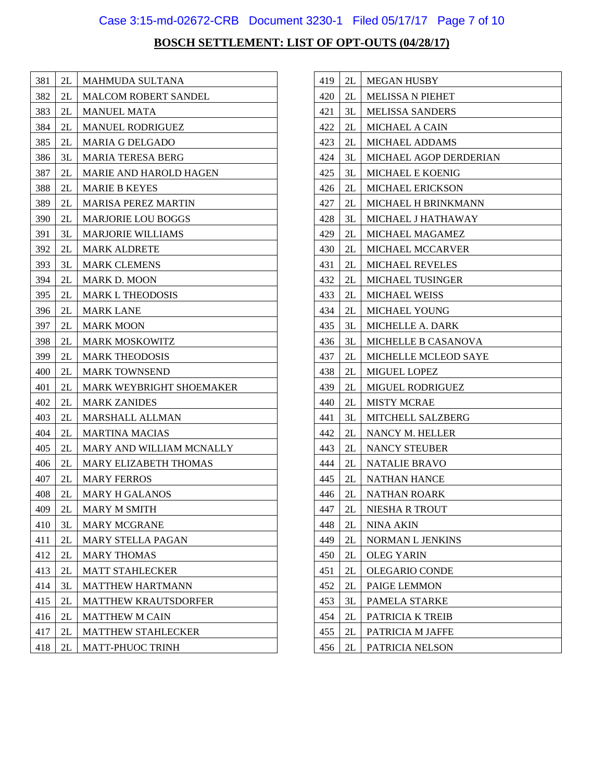## Case 3:15-md-02672-CRB Document 3230-1 Filed 05/17/17 Page 7 of 10

| 381 | 2L | <b>MAHMUDA SULTANA</b>        |
|-----|----|-------------------------------|
| 382 | 2L | <b>MALCOM ROBERT SANDEL</b>   |
| 383 | 2L | <b>MANUEL MATA</b>            |
| 384 | 2L | <b>MANUEL RODRIGUEZ</b>       |
| 385 | 2L | <b>MARIA G DELGADO</b>        |
| 386 | 3L | <b>MARIA TERESA BERG</b>      |
| 387 | 2L | <b>MARIE AND HAROLD HAGEN</b> |
| 388 | 2L | <b>MARIE B KEYES</b>          |
| 389 | 2L | <b>MARISA PEREZ MARTIN</b>    |
| 390 | 2L | <b>MARJORIE LOU BOGGS</b>     |
| 391 | 3L | <b>MARJORIE WILLIAMS</b>      |
| 392 | 2L | <b>MARK ALDRETE</b>           |
| 393 | 3L | <b>MARK CLEMENS</b>           |
| 394 | 2L | <b>MARK D. MOON</b>           |
| 395 | 2L | <b>MARK L THEODOSIS</b>       |
| 396 | 2L | <b>MARK LANE</b>              |
| 397 | 2L | <b>MARK MOON</b>              |
| 398 | 2L | <b>MARK MOSKOWITZ</b>         |
| 399 | 2L | <b>MARK THEODOSIS</b>         |
| 400 | 2L | <b>MARK TOWNSEND</b>          |
| 401 | 2L | MARK WEYBRIGHT SHOEMAKER      |
| 402 | 2L | <b>MARK ZANIDES</b>           |
| 403 | 2L | MARSHALL ALLMAN               |
| 404 | 2L | <b>MARTINA MACIAS</b>         |
| 405 | 2L | MARY AND WILLIAM MCNALLY      |
| 406 | 2L | <b>MARY ELIZABETH THOMAS</b>  |
| 407 | 2L | <b>MARY FERROS</b>            |
| 408 | 2L | <b>MARY H GALANOS</b>         |
| 409 | 2L | MARY M SMITH                  |
| 410 | 3L | <b>MARY MCGRANE</b>           |
| 411 | 2L | <b>MARY STELLA PAGAN</b>      |
| 412 | 2L | <b>MARY THOMAS</b>            |
| 413 | 2L | <b>MATT STAHLECKER</b>        |
| 414 | 3L | <b>MATTHEW HARTMANN</b>       |
| 415 | 2L | <b>MATTHEW KRAUTSDORFER</b>   |
| 416 | 2L | <b>MATTHEW M CAIN</b>         |
| 417 | 2L | <b>MATTHEW STAHLECKER</b>     |
| 418 | 2L | MATT-PHUOC TRINH              |

| 419 | 2L | <b>MEGAN HUSBY</b>          |
|-----|----|-----------------------------|
| 420 | 2L | <b>MELISSA N PIEHET</b>     |
| 421 | 3L | <b>MELISSA SANDERS</b>      |
| 422 | 2L | <b>MICHAEL A CAIN</b>       |
| 423 | 2L | <b>MICHAEL ADDAMS</b>       |
| 424 | 3L | MICHAEL AGOP DERDERIAN      |
| 425 | 3L | MICHAEL E KOENIG            |
| 426 | 2L | MICHAEL ERICKSON            |
| 427 | 2L | <b>MICHAEL H BRINKMANN</b>  |
| 428 | 3L | MICHAEL J HATHAWAY          |
| 429 | 2L | MICHAEL MAGAMEZ             |
| 430 | 2L | <b>MICHAEL MCCARVER</b>     |
| 431 | 2L | <b>MICHAEL REVELES</b>      |
| 432 | 2L | <b>MICHAEL TUSINGER</b>     |
| 433 | 2L | <b>MICHAEL WEISS</b>        |
| 434 | 2L | <b>MICHAEL YOUNG</b>        |
| 435 | 3L | <b>MICHELLE A. DARK</b>     |
| 436 | 3L | MICHELLE B CASANOVA         |
| 437 | 2L | <b>MICHELLE MCLEOD SAYE</b> |
| 438 | 2L | MIGUEL LOPEZ                |
| 439 | 2L | <b>MIGUEL RODRIGUEZ</b>     |
| 440 | 2L | <b>MISTY MCRAE</b>          |
| 441 | 3L | MITCHELL SALZBERG           |
| 442 | 2L | NANCY M. HELLER             |
| 443 | 2L | <b>NANCY STEUBER</b>        |
| 444 | 2L | <b>NATALIE BRAVO</b>        |
| 445 | 2L | <b>NATHAN HANCE</b>         |
| 446 | 2L | <b>NATHAN ROARK</b>         |
| 447 | 2L | NIESHA R TROUT              |
| 448 | 2L | NINA AKIN                   |
| 449 | 2L | NORMAN L JENKINS            |
| 450 | 2L | <b>OLEG YARIN</b>           |
| 451 | 2L | OLEGARIO CONDE              |
| 452 | 2L | PAIGE LEMMON                |
| 453 | 3L | PAMELA STARKE               |
| 454 | 2L | PATRICIA K TREIB            |
| 455 | 2L | PATRICIA M JAFFE            |
| 456 | 2L | PATRICIA NELSON             |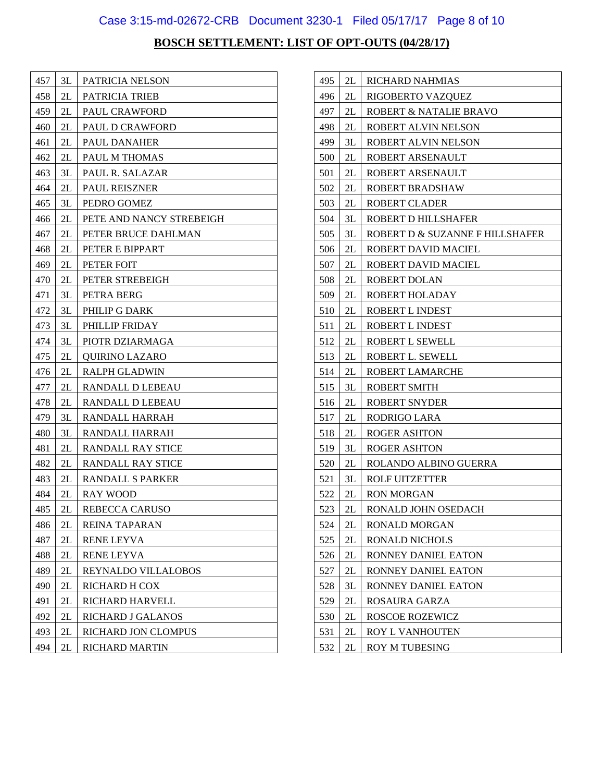## Case 3:15-md-02672-CRB Document 3230-1 Filed 05/17/17 Page 8 of 10

| 457 | 3L | PATRICIA NELSON          |
|-----|----|--------------------------|
| 458 | 2L | PATRICIA TRIEB           |
| 459 | 2L | PAUL CRAWFORD            |
| 460 | 2L | PAUL D CRAWFORD          |
| 461 | 2L | PAUL DANAHER             |
| 462 | 2L | PAUL M THOMAS            |
| 463 | 3L | PAUL R. SALAZAR          |
| 464 | 2L | PAUL REISZNER            |
| 465 | 3L | PEDRO GOMEZ              |
| 466 | 2L | PETE AND NANCY STREBEIGH |
| 467 | 2L | PETER BRUCE DAHLMAN      |
| 468 | 2L | PETER E BIPPART          |
| 469 | 2L | PETER FOIT               |
| 470 | 2L | PETER STREBEIGH          |
| 471 | 3L | PETRA BERG               |
| 472 | 3L | PHILIP G DARK            |
| 473 | 3L | PHILLIP FRIDAY           |
| 474 | 3L | PIOTR DZIARMAGA          |
| 475 | 2L | <b>OUIRINO LAZARO</b>    |
| 476 | 2L | RALPH GLADWIN            |
| 477 | 2L | RANDALL D LEBEAU         |
| 478 | 2L | RANDALL D LEBEAU         |
| 479 | 3L | RANDALL HARRAH           |
| 480 | 3L | RANDALL HARRAH           |
| 481 | 2L | <b>RANDALL RAY STICE</b> |
| 482 | 2L | <b>RANDALL RAY STICE</b> |
| 483 | 2L | RANDALL S PARKER         |
| 484 | 2L | <b>RAY WOOD</b>          |
| 485 | 2L | <b>REBECCA CARUSO</b>    |
| 486 | 2L | REINA TAPARAN            |
| 487 | 2L | <b>RENE LEYVA</b>        |
| 488 | 2L | RENE LEYVA               |
| 489 | 2L | REYNALDO VILLALOBOS      |
| 490 | 2L | RICHARD H COX            |
| 491 | 2L | RICHARD HARVELL          |
| 492 | 2L | RICHARD J GALANOS        |
| 493 | 2L | RICHARD JON CLOMPUS      |
| 494 | 2L | <b>RICHARD MARTIN</b>    |

| 495 | 2L | RICHARD NAHMIAS                 |
|-----|----|---------------------------------|
| 496 | 2L | RIGOBERTO VAZQUEZ               |
| 497 | 2L | ROBERT & NATALIE BRAVO          |
| 498 | 2L | ROBERT ALVIN NELSON             |
| 499 | 3L | ROBERT ALVIN NELSON             |
| 500 | 2L | ROBERT ARSENAULT                |
| 501 | 2L | ROBERT ARSENAULT                |
| 502 | 2L | ROBERT BRADSHAW                 |
| 503 | 2L | <b>ROBERT CLADER</b>            |
| 504 | 3L | ROBERT D HILLSHAFER             |
| 505 | 3L | ROBERT D & SUZANNE F HILLSHAFER |
| 506 | 2L | ROBERT DAVID MACIEL             |
| 507 | 2L | ROBERT DAVID MACIEL             |
| 508 | 2L | ROBERT DOLAN                    |
| 509 | 2L | ROBERT HOLADAY                  |
| 510 | 2L | ROBERT L INDEST                 |
| 511 | 2L | ROBERT L INDEST                 |
| 512 | 2L | ROBERT L SEWELL                 |
| 513 | 2L | ROBERT L. SEWELL                |
| 514 | 2L | ROBERT LAMARCHE                 |
| 515 | 3L | ROBERT SMITH                    |
| 516 | 2L | ROBERT SNYDER                   |
| 517 | 2L | RODRIGO LARA                    |
| 518 | 2L | ROGER ASHTON                    |
| 519 | 3L | <b>ROGER ASHTON</b>             |
| 520 | 2L | ROLANDO ALBINO GUERRA           |
| 521 | 3L | <b>ROLF UITZETTER</b>           |
| 522 | 2L | <b>RON MORGAN</b>               |
| 523 | 2L | RONALD JOHN OSEDACH             |
| 524 | 2L | RONALD MORGAN                   |
| 525 | 2L | <b>RONALD NICHOLS</b>           |
| 526 | 2L | RONNEY DANIEL EATON             |
| 527 | 2L | RONNEY DANIEL EATON             |
| 528 | 3L | RONNEY DANIEL EATON             |
| 529 | 2L | <b>ROSAURA GARZA</b>            |
| 530 | 2L | ROSCOE ROZEWICZ                 |
| 531 | 2L | ROY L VANHOUTEN                 |
| 532 | 2L | ROY M TUBESING                  |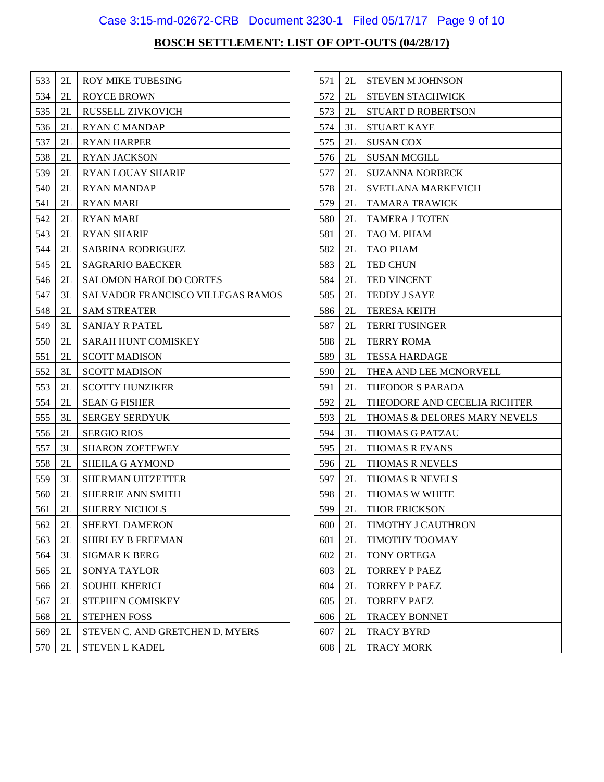## Case 3:15-md-02672-CRB Document 3230-1 Filed 05/17/17 Page 9 of 10

| 533 | 2L | <b>ROY MIKE TUBESING</b>                 |
|-----|----|------------------------------------------|
| 534 | 2L | <b>ROYCE BROWN</b>                       |
| 535 | 2L | RUSSELL ZIVKOVICH                        |
| 536 | 2L | <b>RYAN C MANDAP</b>                     |
| 537 | 2L | <b>RYAN HARPER</b>                       |
| 538 | 2L | <b>RYAN JACKSON</b>                      |
| 539 | 2L | <b>RYAN LOUAY SHARIF</b>                 |
| 540 | 2L | <b>RYAN MANDAP</b>                       |
| 541 | 2L | <b>RYAN MARI</b>                         |
| 542 | 2L | <b>RYAN MARI</b>                         |
| 543 | 2L | <b>RYAN SHARIF</b>                       |
| 544 | 2L | <b>SABRINA RODRIGUEZ</b>                 |
| 545 | 2L | <b>SAGRARIO BAECKER</b>                  |
| 546 | 2L | <b>SALOMON HAROLDO CORTES</b>            |
| 547 | 3L | <b>SALVADOR FRANCISCO VILLEGAS RAMOS</b> |
| 548 | 2L | <b>SAM STREATER</b>                      |
| 549 | 3L | <b>SANJAY R PATEL</b>                    |
| 550 | 2L | SARAH HUNT COMISKEY                      |
| 551 | 2L | <b>SCOTT MADISON</b>                     |
| 552 | 3L | <b>SCOTT MADISON</b>                     |
| 553 | 2L | <b>SCOTTY HUNZIKER</b>                   |
| 554 | 2L | <b>SEAN G FISHER</b>                     |
| 555 | 3L | <b>SERGEY SERDYUK</b>                    |
| 556 | 2L | <b>SERGIO RIOS</b>                       |
| 557 | 3L | <b>SHARON ZOETEWEY</b>                   |
| 558 | 2L | <b>SHEILA G AYMOND</b>                   |
| 559 | 3L | <b>SHERMAN UITZETTER</b>                 |
| 560 | 2L | <b>SHERRIE ANN SMITH</b>                 |
| 561 | 2L | <b>SHERRY NICHOLS</b>                    |
| 562 | 2L | SHERYL DAMERON                           |
| 563 | 2L | <b>SHIRLEY B FREEMAN</b>                 |
| 564 | 3L | <b>SIGMAR K BERG</b>                     |
| 565 | 2L | <b>SONYA TAYLOR</b>                      |
| 566 | 2L | <b>SOUHIL KHERICI</b>                    |
| 567 | 2L | STEPHEN COMISKEY                         |
| 568 | 2L | <b>STEPHEN FOSS</b>                      |
| 569 | 2L | STEVEN C. AND GRETCHEN D. MYERS          |
| 570 | 2L | <b>STEVEN L KADEL</b>                    |

| 571 | 2L | <b>STEVEN M JOHNSON</b>      |
|-----|----|------------------------------|
| 572 | 2L | <b>STEVEN STACHWICK</b>      |
| 573 | 2L | <b>STUART D ROBERTSON</b>    |
| 574 | 3L | STUART KAYE                  |
| 575 | 2L | <b>SUSAN COX</b>             |
| 576 | 2L | <b>SUSAN MCGILL</b>          |
| 577 | 2L | <b>SUZANNA NORBECK</b>       |
| 578 | 2L | SVETLANA MARKEVICH           |
| 579 | 2L | <b>TAMARA TRAWICK</b>        |
| 580 | 2L | TAMERA J TOTEN               |
| 581 | 2L | TAO M. PHAM                  |
| 582 | 2L | TAO PHAM                     |
| 583 | 2L | <b>TED CHUN</b>              |
| 584 | 2L | <b>TED VINCENT</b>           |
| 585 | 2L | TEDDY J SAYE                 |
| 586 | 2L | <b>TERESA KEITH</b>          |
| 587 | 2L | TERRI TUSINGER               |
| 588 | 2L | <b>TERRY ROMA</b>            |
| 589 | 3L | <b>TESSA HARDAGE</b>         |
| 590 | 2L | THEA AND LEE MCNORVELL       |
| 591 | 2L | <b>THEODOR S PARADA</b>      |
| 592 | 2L | THEODORE AND CECELIA RICHTER |
| 593 | 2L | THOMAS & DELORES MARY NEVELS |
| 594 | 3L | THOMAS G PATZAU              |
| 595 | 2L | THOMAS R EVANS               |
| 596 | 2L | <b>THOMAS R NEVELS</b>       |
| 597 | 2L | <b>THOMAS R NEVELS</b>       |
| 598 | 2L | THOMAS W WHITE               |
| 599 | 2L | THOR ERICKSON                |
| 600 | 2L | TIMOTHY J CAUTHRON           |
| 601 | 2L | TIMOTHY TOOMAY               |
| 602 | 2L | TONY ORTEGA                  |
| 603 | 2L | <b>TORREY P PAEZ</b>         |
| 604 | 2L | <b>TORREY P PAEZ</b>         |
| 605 | 2L | TORREY PAEZ                  |
| 606 | 2L | <b>TRACEY BONNET</b>         |
| 607 | 2L | TRACY BYRD                   |
| 608 | 2L | <b>TRACY MORK</b>            |